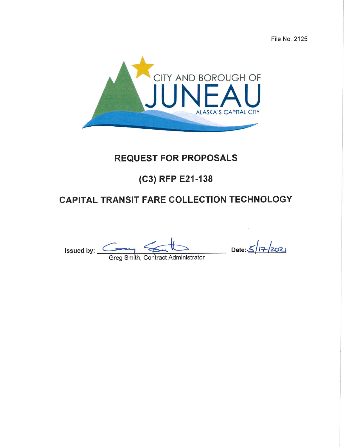File No. 2125



## **REQUEST FOR PROPOSALS**

# (C3) RFP E21-138

# **CAPITAL TRANSIT FARE COLLECTION TECHNOLOGY**

Issued by: <u>Commith, Contract Administrator</u>

Date:  $\frac{\sqrt{7}}{202}$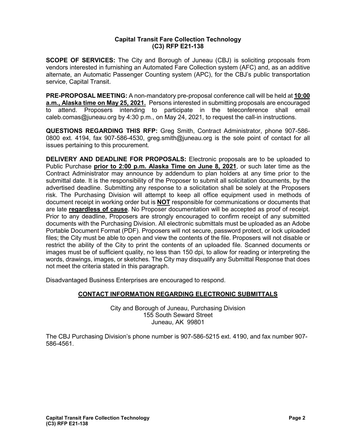#### **Capital Transit Fare Collection Technology (C3) RFP E21-138**

**SCOPE OF SERVICES:** The City and Borough of Juneau (CBJ) is soliciting proposals from vendors interested in furnishing an Automated Fare Collection system (AFC) and, as an additive alternate, an Automatic Passenger Counting system (APC), for the CBJ's public transportation service, Capital Transit.

**PRE-PROPOSAL MEETING:** A non-mandatory pre-proposal conference call will be held at **10:00 a.m., Alaska time on May 25, 2021.** Persons interested in submitting proposals are encouraged to attend. Proposers intending to participate in the teleconference shall email caleb.comas@juneau.org by 4:30 p.m., on May 24, 2021, to request the call-in instructions.

**QUESTIONS REGARDING THIS RFP:** Greg Smith, Contract Administrator, phone 907-586- 0800 ext. 4194, fax 907-586-4530, greg.smith@juneau.org is the sole point of contact for all issues pertaining to this procurement.

**DELIVERY AND DEADLINE FOR PROPOSALS:** Electronic proposals are to be uploaded to Public Purchase **prior to 2:00 p.m. Alaska Time on June 8, 2021**, or such later time as the Contract Administrator may announce by addendum to plan holders at any time prior to the submittal date. It is the responsibility of the Proposer to submit all solicitation documents, by the advertised deadline. Submitting any response to a solicitation shall be solely at the Proposers risk. The Purchasing Division will attempt to keep all office equipment used in methods of document receipt in working order but is **NOT** responsible for communications or documents that are late **regardless of cause**. No Proposer documentation will be accepted as proof of receipt. Prior to any deadline, Proposers are strongly encouraged to confirm receipt of any submitted documents with the Purchasing Division. All electronic submittals must be uploaded as an Adobe Portable Document Format (PDF). Proposers will not secure, password protect, or lock uploaded files; the City must be able to open and view the contents of the file. Proposers will not disable or restrict the ability of the City to print the contents of an uploaded file. Scanned documents or images must be of sufficient quality, no less than 150 dpi, to allow for reading or interpreting the words, drawings, images, or sketches. The City may disqualify any Submittal Response that does not meet the criteria stated in this paragraph.

Disadvantaged Business Enterprises are encouraged to respond.

#### **CONTACT INFORMATION REGARDING ELECTRONIC SUBMITTALS**

City and Borough of Juneau, Purchasing Division 155 South Seward Street Juneau, AK 99801

The CBJ Purchasing Division's phone number is 907-586-5215 ext. 4190, and fax number 907- 586-4561.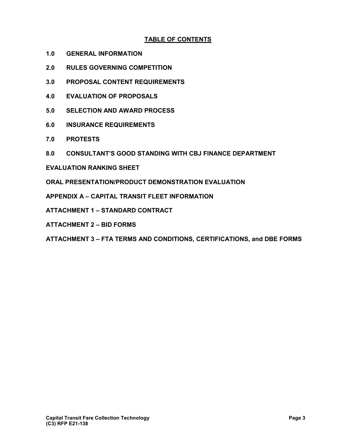#### **TABLE OF CONTENTS**

- **1.0 GENERAL INFORMATION**
- **2.0 RULES GOVERNING COMPETITION**
- **3.0 PROPOSAL CONTENT REQUIREMENTS**
- **4.0 EVALUATION OF PROPOSALS**
- **5.0 SELECTION AND AWARD PROCESS**
- **6.0 INSURANCE REQUIREMENTS**
- **7.0 PROTESTS**
- **8.0 CONSULTANT'S GOOD STANDING WITH CBJ FINANCE DEPARTMENT**
- **EVALUATION RANKING SHEET**
- **ORAL PRESENTATION/PRODUCT DEMONSTRATION EVALUATION**

**APPENDIX A – CAPITAL TRANSIT FLEET INFORMATION**

- **ATTACHMENT 1 – STANDARD CONTRACT**
- **ATTACHMENT 2 – BID FORMS**
- **ATTACHMENT 3 – FTA TERMS AND CONDITIONS, CERTIFICATIONS, and DBE FORMS**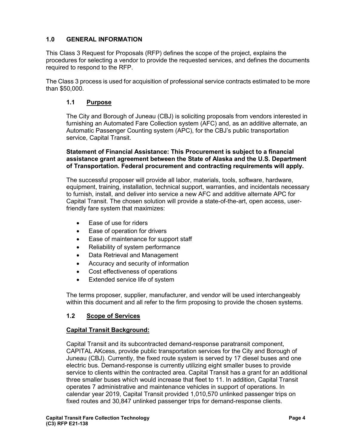#### **1.0 GENERAL INFORMATION**

This Class 3 Request for Proposals (RFP) defines the scope of the project, explains the procedures for selecting a vendor to provide the requested services, and defines the documents required to respond to the RFP.

The Class 3 process is used for acquisition of professional service contracts estimated to be more than \$50,000.

#### **1.1 Purpose**

The City and Borough of Juneau (CBJ) is soliciting proposals from vendors interested in furnishing an Automated Fare Collection system (AFC) and, as an additive alternate, an Automatic Passenger Counting system (APC), for the CBJ's public transportation service, Capital Transit.

#### **Statement of Financial Assistance: This Procurement is subject to a financial assistance grant agreement between the State of Alaska and the U.S. Department of Transportation. Federal procurement and contracting requirements will apply.**

The successful proposer will provide all labor, materials, tools, software, hardware, equipment, training, installation, technical support, warranties, and incidentals necessary to furnish, install, and deliver into service a new AFC and additive alternate APC for Capital Transit. The chosen solution will provide a state-of-the-art, open access, userfriendly fare system that maximizes:

- Ease of use for riders
- Ease of operation for drivers
- Ease of maintenance for support staff
- Reliability of system performance
- Data Retrieval and Management
- Accuracy and security of information
- Cost effectiveness of operations
- Extended service life of system

The terms proposer, supplier, manufacturer, and vendor will be used interchangeably within this document and all refer to the firm proposing to provide the chosen systems.

#### **1.2 Scope of Services**

#### **Capital Transit Background:**

Capital Transit and its subcontracted demand-response paratransit component, CAPITAL AKcess, provide public transportation services for the City and Borough of Juneau (CBJ). Currently, the fixed route system is served by 17 diesel buses and one electric bus. Demand-response is currently utilizing eight smaller buses to provide service to clients within the contracted area. Capital Transit has a grant for an additional three smaller buses which would increase that fleet to 11. In addition, Capital Transit operates 7 administrative and maintenance vehicles in support of operations. In calendar year 2019, Capital Transit provided 1,010,570 unlinked passenger trips on fixed routes and 30,847 unlinked passenger trips for demand-response clients.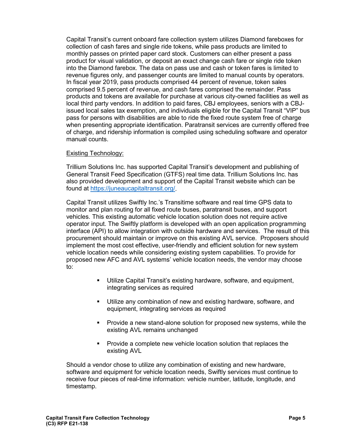Capital Transit's current onboard fare collection system utilizes Diamond fareboxes for collection of cash fares and single ride tokens, while pass products are limited to monthly passes on printed paper card stock. Customers can either present a pass product for visual validation, or deposit an exact change cash fare or single ride token into the Diamond farebox. The data on pass use and cash or token fares is limited to revenue figures only, and passenger counts are limited to manual counts by operators. In fiscal year 2019, pass products comprised 44 percent of revenue, token sales comprised 9.5 percent of revenue, and cash fares comprised the remainder. Pass products and tokens are available for purchase at various city-owned facilities as well as local third party vendors. In addition to paid fares, CBJ employees, seniors with a CBJissued local sales tax exemption, and individuals eligible for the Capital Transit "VIP" bus pass for persons with disabilities are able to ride the fixed route system free of charge when presenting appropriate identification. Paratransit services are currently offered free of charge, and ridership information is compiled using scheduling software and operator manual counts.

#### Existing Technology:

Trillium Solutions Inc. has supported Capital Transit's development and publishing of General Transit Feed Specification (GTFS) real time data. Trillium Solutions Inc. has also provided development and support of the Capital Transit website which can be found at [https://juneaucapitaltransit.org/.](https://juneaucapitaltransit.org/)

Capital Transit utilizes Swiftly Inc.'s Transitime software and real time GPS data to monitor and plan routing for all fixed route buses, paratransit buses, and support vehicles. This existing automatic vehicle location solution does not require active operator input. The Swiftly platform is developed with an open application programming interface (API) to allow integration with outside hardware and services. The result of this procurement should maintain or improve on this existing AVL service. Proposers should implement the most cost effective, user-friendly and efficient solution for new system vehicle location needs while considering existing system capabilities. To provide for proposed new AFC and AVL systems' vehicle location needs, the vendor may choose to:

- Utilize Capital Transit's existing hardware, software, and equipment, integrating services as required
- Utilize any combination of new and existing hardware, software, and equipment, integrating services as required
- **Provide a new stand-alone solution for proposed new systems, while the** existing AVL remains unchanged
- **Provide a complete new vehicle location solution that replaces the** existing AVL

Should a vendor chose to utilize any combination of existing and new hardware, software and equipment for vehicle location needs, Swiftly services must continue to receive four pieces of real-time information: vehicle number, latitude, longitude, and timestamp.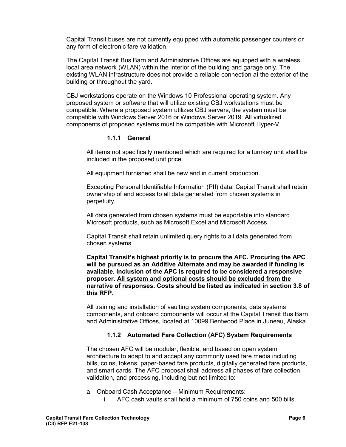Capital Transit buses are not currently equipped with automatic passenger counters or any form of electronic fare validation.

The Capital Transit Bus Barn and Administrative Offices are equipped with a wireless local area network (WLAN) within the interior of the building and garage only. The existing WLAN infrastructure does not provide a reliable connection at the exterior of the building or throughout the yard.

CBJ workstations operate on the Windows 10 Professional operating system. Any proposed system or software that will utilize existing CBJ workstations must be compatible. Where a proposed system utilizes CBJ servers, the system must be compatible with Windows Server 2016 or Windows Server 2019. All virtualized components of proposed systems must be compatible with Microsoft Hyper-V.

#### **1.1.1 General**

All items not specifically mentioned which are required for a turnkey unit shall be included in the proposed unit price.

All equipment furnished shall be new and in current production.

Excepting Personal Identifiable Information (PII) data, Capital Transit shall retain ownership of and access to all data generated from chosen systems in perpetuity.

All data generated from chosen systems must be exportable into standard Microsoft products, such as Microsoft Excel and Microsoft Access.

Capital Transit shall retain unlimited query rights to all data generated from chosen systems.

**Capital Transit's highest priority is to procure the AFC. Procuring the APC will be pursued as an Additive Alternate and may be awarded if funding is available. Inclusion of the APC is required to be considered a responsive proposer. All system and optional costs should be excluded from the narrative of responses. Costs should be listed as indicated in section 3.8 of this RFP.**

All training and installation of vaulting system components, data systems components, and onboard components will occur at the Capital Transit Bus Barn and Administrative Offices, located at 10099 Bentwood Place in Juneau, Alaska.

#### **1.1.2 Automated Fare Collection (AFC) System Requirements**

The chosen AFC will be modular, flexible, and based on open system architecture to adapt to and accept any commonly used fare media including bills, coins, tokens, paper-based fare products, digitally generated fare products, and smart cards. The AFC proposal shall address all phases of fare collection, validation, and processing, including but not limited to:

a. Onboard Cash Acceptance – Minimum Requirements:

i. AFC cash vaults shall hold a minimum of 750 coins and 500 bills.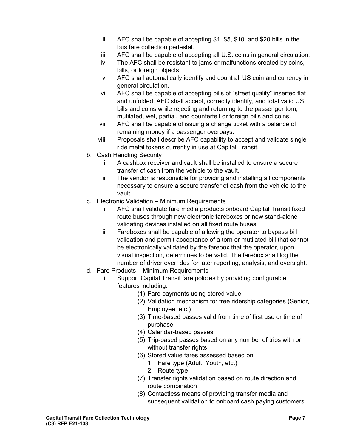- ii. AFC shall be capable of accepting \$1, \$5, \$10, and \$20 bills in the bus fare collection pedestal.
- iii. AFC shall be capable of accepting all U.S. coins in general circulation.
- iv. The AFC shall be resistant to jams or malfunctions created by coins, bills, or foreign objects.
- v. AFC shall automatically identify and count all US coin and currency in general circulation.
- vi. AFC shall be capable of accepting bills of "street quality" inserted flat and unfolded. AFC shall accept, correctly identify, and total valid US bills and coins while rejecting and returning to the passenger torn, mutilated, wet, partial, and counterfeit or foreign bills and coins.
- vii. AFC shall be capable of issuing a change ticket with a balance of remaining money if a passenger overpays.
- viii. Proposals shall describe AFC capability to accept and validate single ride metal tokens currently in use at Capital Transit.
- b. Cash Handling Security
	- i. A cashbox receiver and vault shall be installed to ensure a secure transfer of cash from the vehicle to the vault.
	- ii. The vendor is responsible for providing and installing all components necessary to ensure a secure transfer of cash from the vehicle to the vault.
- c. Electronic Validation Minimum Requirements
	- i. AFC shall validate fare media products onboard Capital Transit fixed route buses through new electronic fareboxes or new stand-alone validating devices installed on all fixed route buses.
	- ii. Fareboxes shall be capable of allowing the operator to bypass bill validation and permit acceptance of a torn or mutilated bill that cannot be electronically validated by the farebox that the operator, upon visual inspection, determines to be valid. The farebox shall log the number of driver overrides for later reporting, analysis, and oversight.
- d. Fare Products Minimum Requirements
	- i. Support Capital Transit fare policies by providing configurable features including:
		- (1) Fare payments using stored value
		- (2) Validation mechanism for free ridership categories (Senior, Employee, etc.)
		- (3) Time-based passes valid from time of first use or time of purchase
		- (4) Calendar-based passes
		- (5) Trip-based passes based on any number of trips with or without transfer rights
		- (6) Stored value fares assessed based on
			- 1. Fare type (Adult, Youth, etc.)
			- 2. Route type
		- (7) Transfer rights validation based on route direction and route combination
		- (8) Contactless means of providing transfer media and subsequent validation to onboard cash paying customers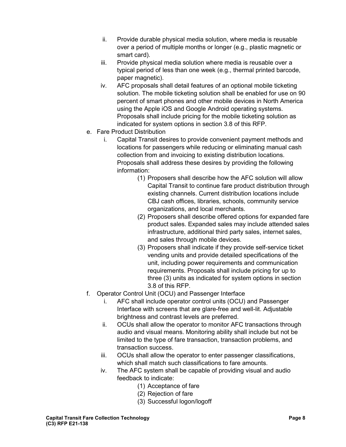- ii. Provide durable physical media solution, where media is reusable over a period of multiple months or longer (e.g., plastic magnetic or smart card).
- iii. Provide physical media solution where media is reusable over a typical period of less than one week (e.g., thermal printed barcode, paper magnetic).
- iv. AFC proposals shall detail features of an optional mobile ticketing solution. The mobile ticketing solution shall be enabled for use on 90 percent of smart phones and other mobile devices in North America using the Apple iOS and Google Android operating systems. Proposals shall include pricing for the mobile ticketing solution as indicated for system options in section 3.8 of this RFP.
- e. Fare Product Distribution
	- i. Capital Transit desires to provide convenient payment methods and locations for passengers while reducing or eliminating manual cash collection from and invoicing to existing distribution locations. Proposals shall address these desires by providing the following information:
		- (1) Proposers shall describe how the AFC solution will allow Capital Transit to continue fare product distribution through existing channels. Current distribution locations include CBJ cash offices, libraries, schools, community service organizations, and local merchants.
		- (2) Proposers shall describe offered options for expanded fare product sales. Expanded sales may include attended sales infrastructure, additional third party sales, internet sales, and sales through mobile devices.
		- (3) Proposers shall indicate if they provide self-service ticket vending units and provide detailed specifications of the unit, including power requirements and communication requirements. Proposals shall include pricing for up to three (3) units as indicated for system options in section 3.8 of this RFP.
- f. Operator Control Unit (OCU) and Passenger Interface
	- i. AFC shall include operator control units (OCU) and Passenger Interface with screens that are glare-free and well-lit. Adjustable brightness and contrast levels are preferred.
	- ii. OCUs shall allow the operator to monitor AFC transactions through audio and visual means. Monitoring ability shall include but not be limited to the type of fare transaction, transaction problems, and transaction success.
	- iii. OCUs shall allow the operator to enter passenger classifications, which shall match such classifications to fare amounts.
	- iv. The AFC system shall be capable of providing visual and audio feedback to indicate:
		- (1) Acceptance of fare
		- (2) Rejection of fare
		- (3) Successful logon/logoff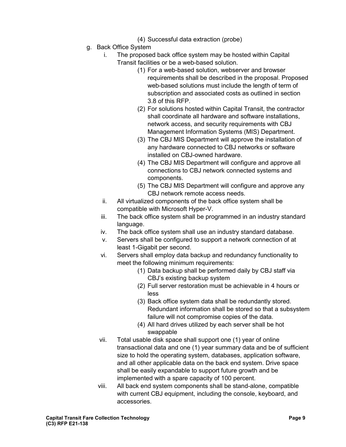- (4) Successful data extraction (probe)
- g. Back Office System
	- i. The proposed back office system may be hosted within Capital
		- Transit facilities or be a web-based solution.
			- (1) For a web-based solution, webserver and browser requirements shall be described in the proposal. Proposed web-based solutions must include the length of term of subscription and associated costs as outlined in section 3.8 of this RFP.
			- (2) For solutions hosted within Capital Transit, the contractor shall coordinate all hardware and software installations, network access, and security requirements with CBJ Management Information Systems (MIS) Department.
			- (3) The CBJ MIS Department will approve the installation of any hardware connected to CBJ networks or software installed on CBJ-owned hardware.
			- (4) The CBJ MIS Department will configure and approve all connections to CBJ network connected systems and components.
			- (5) The CBJ MIS Department will configure and approve any CBJ network remote access needs.
	- ii. All virtualized components of the back office system shall be compatible with Microsoft Hyper-V.
	- iii. The back office system shall be programmed in an industry standard language.
	- iv. The back office system shall use an industry standard database.
	- v. Servers shall be configured to support a network connection of at least 1-Gigabit per second.
	- vi. Servers shall employ data backup and redundancy functionality to meet the following minimum requirements:
		- (1) Data backup shall be performed daily by CBJ staff via CBJ's existing backup system
		- (2) Full server restoration must be achievable in 4 hours or less
		- (3) Back office system data shall be redundantly stored. Redundant information shall be stored so that a subsystem failure will not compromise copies of the data.
		- (4) All hard drives utilized by each server shall be hot swappable
	- vii. Total usable disk space shall support one (1) year of online transactional data and one (1) year summary data and be of sufficient size to hold the operating system, databases, application software, and all other applicable data on the back end system. Drive space shall be easily expandable to support future growth and be implemented with a spare capacity of 100 percent.
	- viii. All back end system components shall be stand-alone, compatible with current CBJ equipment, including the console, keyboard, and accessories.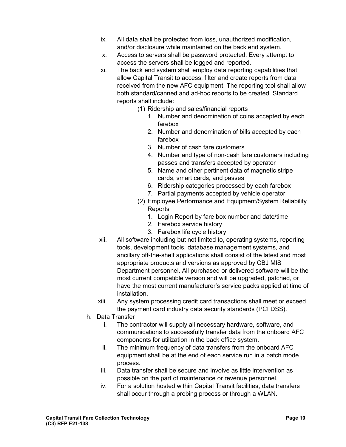- ix. All data shall be protected from loss, unauthorized modification, and/or disclosure while maintained on the back end system.
- x. Access to servers shall be password protected. Every attempt to access the servers shall be logged and reported.
- xi. The back end system shall employ data reporting capabilities that allow Capital Transit to access, filter and create reports from data received from the new AFC equipment. The reporting tool shall allow both standard/canned and ad-hoc reports to be created. Standard reports shall include:
	- (1) Ridership and sales/financial reports
		- 1. Number and denomination of coins accepted by each farebox
		- 2. Number and denomination of bills accepted by each farebox
		- 3. Number of cash fare customers
		- 4. Number and type of non-cash fare customers including passes and transfers accepted by operator
		- 5. Name and other pertinent data of magnetic stripe cards, smart cards, and passes
		- 6. Ridership categories processed by each farebox
		- 7. Partial payments accepted by vehicle operator
	- (2) Employee Performance and Equipment/System Reliability **Reports** 
		- 1. Login Report by fare box number and date/time
		- 2. Farebox service history
		- 3. Farebox life cycle history
- xii. All software including but not limited to, operating systems, reporting tools, development tools, database management systems, and ancillary off-the-shelf applications shall consist of the latest and most appropriate products and versions as approved by CBJ MIS Department personnel. All purchased or delivered software will be the most current compatible version and will be upgraded, patched, or have the most current manufacturer's service packs applied at time of installation.
- xiii. Any system processing credit card transactions shall meet or exceed the payment card industry data security standards (PCI DSS).
- h. Data Transfer
	- i. The contractor will supply all necessary hardware, software, and communications to successfully transfer data from the onboard AFC components for utilization in the back office system.
	- ii. The minimum frequency of data transfers from the onboard AFC equipment shall be at the end of each service run in a batch mode process.
	- iii. Data transfer shall be secure and involve as little intervention as possible on the part of maintenance or revenue personnel.
	- iv. For a solution hosted within Capital Transit facilities, data transfers shall occur through a probing process or through a WLAN.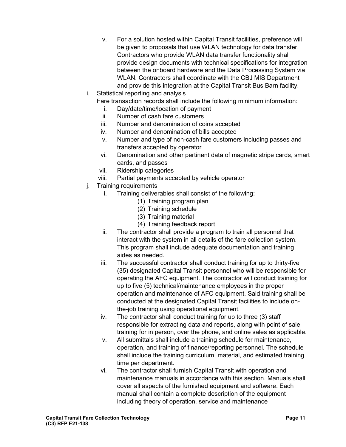- v. For a solution hosted within Capital Transit facilities, preference will be given to proposals that use WLAN technology for data transfer. Contractors who provide WLAN data transfer functionality shall provide design documents with technical specifications for integration between the onboard hardware and the Data Processing System via WLAN. Contractors shall coordinate with the CBJ MIS Department and provide this integration at the Capital Transit Bus Barn facility.
- i. Statistical reporting and analysis
	- Fare transaction records shall include the following minimum information:
		- i. Day/date/time/location of payment
		- ii. Number of cash fare customers
		- iii. Number and denomination of coins accepted
	- iv. Number and denomination of bills accepted
	- v. Number and type of non-cash fare customers including passes and transfers accepted by operator
	- vi. Denomination and other pertinent data of magnetic stripe cards, smart cards, and passes
	- vii. Ridership categories
	- viii. Partial payments accepted by vehicle operator
- j. Training requirements
	- i. Training deliverables shall consist of the following:
		- (1) Training program plan
		- (2) Training schedule
		- (3) Training material
		- (4) Training feedback report
	- ii. The contractor shall provide a program to train all personnel that interact with the system in all details of the fare collection system. This program shall include adequate documentation and training aides as needed.
	- iii. The successful contractor shall conduct training for up to thirty-five (35) designated Capital Transit personnel who will be responsible for operating the AFC equipment. The contractor will conduct training for up to five (5) technical/maintenance employees in the proper operation and maintenance of AFC equipment. Said training shall be conducted at the designated Capital Transit facilities to include onthe-job training using operational equipment.
	- iv. The contractor shall conduct training for up to three (3) staff responsible for extracting data and reports, along with point of sale training for in person, over the phone, and online sales as applicable.
	- v. All submittals shall include a training schedule for maintenance, operation, and training of finance/reporting personnel. The schedule shall include the training curriculum, material, and estimated training time per department.
	- vi. The contractor shall furnish Capital Transit with operation and maintenance manuals in accordance with this section. Manuals shall cover all aspects of the furnished equipment and software. Each manual shall contain a complete description of the equipment including theory of operation, service and maintenance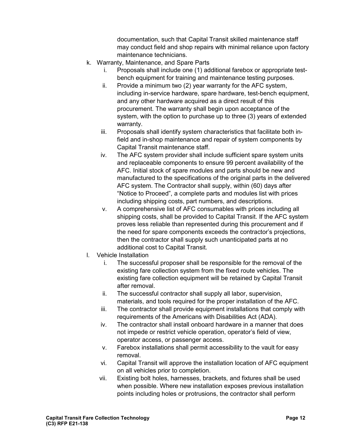documentation, such that Capital Transit skilled maintenance staff may conduct field and shop repairs with minimal reliance upon factory maintenance technicians.

- k. Warranty, Maintenance, and Spare Parts
	- i. Proposals shall include one (1) additional farebox or appropriate testbench equipment for training and maintenance testing purposes.
	- ii. Provide a minimum two (2) year warranty for the AFC system, including in-service hardware, spare hardware, test-bench equipment, and any other hardware acquired as a direct result of this procurement. The warranty shall begin upon acceptance of the system, with the option to purchase up to three (3) years of extended warranty.
	- iii. Proposals shall identify system characteristics that facilitate both infield and in-shop maintenance and repair of system components by Capital Transit maintenance staff.
	- iv. The AFC system provider shall include sufficient spare system units and replaceable components to ensure 99 percent availability of the AFC. Initial stock of spare modules and parts should be new and manufactured to the specifications of the original parts in the delivered AFC system. The Contractor shall supply, within (60) days after "Notice to Proceed", a complete parts and modules list with prices including shipping costs, part numbers, and descriptions.
	- v. A comprehensive list of AFC consumables with prices including all shipping costs, shall be provided to Capital Transit. If the AFC system proves less reliable than represented during this procurement and if the need for spare components exceeds the contractor's projections, then the contractor shall supply such unanticipated parts at no additional cost to Capital Transit.
- l. Vehicle Installation
	- i. The successful proposer shall be responsible for the removal of the existing fare collection system from the fixed route vehicles. The existing fare collection equipment will be retained by Capital Transit after removal.
	- ii. The successful contractor shall supply all labor, supervision, materials, and tools required for the proper installation of the AFC.
	- iii. The contractor shall provide equipment installations that comply with requirements of the Americans with Disabilities Act (ADA).
	- iv. The contractor shall install onboard hardware in a manner that does not impede or restrict vehicle operation, operator's field of view, operator access, or passenger access.
	- v. Farebox installations shall permit accessibility to the vault for easy removal.
	- vi. Capital Transit will approve the installation location of AFC equipment on all vehicles prior to completion.
	- vii. Existing bolt holes, harnesses, brackets, and fixtures shall be used when possible. Where new installation exposes previous installation points including holes or protrusions, the contractor shall perform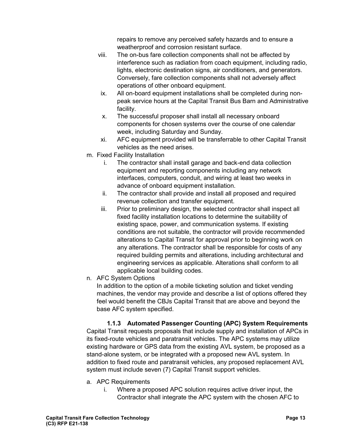repairs to remove any perceived safety hazards and to ensure a weatherproof and corrosion resistant surface.

- viii. The on-bus fare collection components shall not be affected by interference such as radiation from coach equipment, including radio, lights, electronic destination signs, air conditioners, and generators. Conversely, fare collection components shall not adversely affect operations of other onboard equipment.
	- ix. All on-board equipment installations shall be completed during nonpeak service hours at the Capital Transit Bus Barn and Administrative facility.
	- x. The successful proposer shall install all necessary onboard components for chosen systems over the course of one calendar week, including Saturday and Sunday.
	- xi. AFC equipment provided will be transferrable to other Capital Transit vehicles as the need arises.
- m. Fixed Facility Installation
	- i. The contractor shall install garage and back-end data collection equipment and reporting components including any network interfaces, computers, conduit, and wiring at least two weeks in advance of onboard equipment installation.
	- ii. The contractor shall provide and install all proposed and required revenue collection and transfer equipment.
	- iii. Prior to preliminary design, the selected contractor shall inspect all fixed facility installation locations to determine the suitability of existing space, power, and communication systems. If existing conditions are not suitable, the contractor will provide recommended alterations to Capital Transit for approval prior to beginning work on any alterations. The contractor shall be responsible for costs of any required building permits and alterations, including architectural and engineering services as applicable. Alterations shall conform to all applicable local building codes.
- n. AFC System Options

In addition to the option of a mobile ticketing solution and ticket vending machines, the vendor may provide and describe a list of options offered they feel would benefit the CBJs Capital Transit that are above and beyond the base AFC system specified.

#### **1.1.3 Automated Passenger Counting (APC) System Requirements**

Capital Transit requests proposals that include supply and installation of APCs in its fixed-route vehicles and paratransit vehicles. The APC systems may utilize existing hardware or GPS data from the existing AVL system, be proposed as a stand-alone system, or be integrated with a proposed new AVL system. In addition to fixed route and paratransit vehicles, any proposed replacement AVL system must include seven (7) Capital Transit support vehicles.

- a. APC Requirements
	- i. Where a proposed APC solution requires active driver input, the Contractor shall integrate the APC system with the chosen AFC to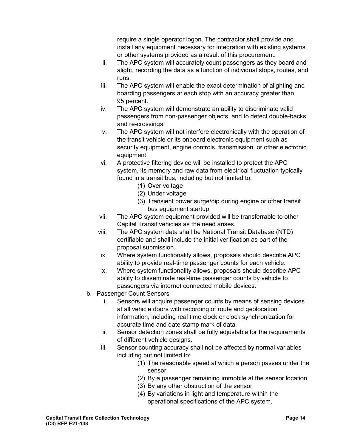require a single operator logon. The contractor shall provide and install any equipment necessary for integration with existing systems or other systems provided as a result of this procurement.

- ii. The APC system will accurately count passengers as they board and alight, recording the data as a function of individual stops, routes, and runs.
- iii. The APC system will enable the exact determination of alighting and boarding passengers at each stop with an accuracy greater than 95 percent.
- iv. The APC system will demonstrate an ability to discriminate valid passengers from non-passenger objects, and to detect double-backs and re-crossings.
- v. The APC system will not interfere electronically with the operation of the transit vehicle or its onboard electronic equipment such as security equipment, engine controls, transmission, or other electronic equipment.
- vi. A protective filtering device will be installed to protect the APC system, its memory and raw data from electrical fluctuation typically found in a transit bus, including but not limited to:
	- (1) Over voltage
	- (2) Under voltage
	- (3) Transient power surge/dip during engine or other transit bus equipment startup
- vii. The APC system equipment provided will be transferrable to other Capital Transit vehicles as the need arises.
- viii. The APC system data shall be National Transit Database (NTD) certifiable and shall include the initial verification as part of the proposal submission.
- ix. Where system functionality allows, proposals should describe APC ability to provide real-time passenger counts for each vehicle.
- x. Where system functionality allows, proposals should describe APC ability to disseminate real-time passenger counts by vehicle to passengers via internet connected mobile devices.
- b. Passenger Count Sensors
	- i. Sensors will acquire passenger counts by means of sensing devices at all vehicle doors with recording of route and geolocation information, including real time clock or clock synchronization for accurate time and date stamp mark of data.
	- ii. Sensor detection zones shall be fully adjustable for the requirements of different vehicle designs.
	- iii. Sensor counting accuracy shall not be affected by normal variables including but not limited to:
		- (1) The reasonable speed at which a person passes under the sensor
		- (2) By a passenger remaining immobile at the sensor location
		- (3) By any other obstruction of the sensor
		- (4) By variations in light and temperature within the operational specifications of the APC system.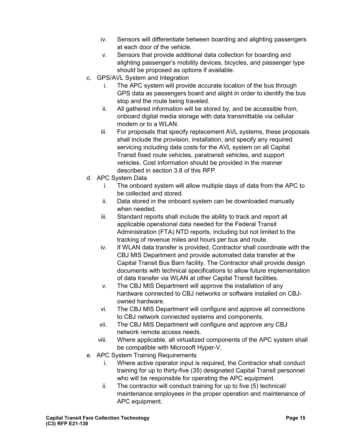- iv. Sensors will differentiate between boarding and alighting passengers at each door of the vehicle.
- v. Sensors that provide additional data collection for boarding and alighting passenger's mobility devices, bicycles, and passenger type should be proposed as options if available.
- c. GPS/AVL System and Integration
	- i. The APC system will provide accurate location of the bus through GPS data as passengers board and alight in order to identify the bus stop and the route being traveled.
	- ii. All gathered information will be stored by, and be accessible from, onboard digital media storage with data transmittable via cellular modem or to a WLAN.
	- iii. For proposals that specify replacement AVL systems, these proposals shall include the provision, installation, and specify any required servicing including data costs for the AVL system on all Capital Transit fixed route vehicles, paratransit vehicles, and support vehicles. Cost information should be provided in the manner described in section 3.8 of this RFP.
- d. APC System Data
	- i. The onboard system will allow multiple days of data from the APC to be collected and stored.
	- ii. Data stored in the onboard system can be downloaded manually when needed.
	- iii. Standard reports shall include the ability to track and report all applicable operational data needed for the Federal Transit Administration (FTA) NTD reports, including but not limited to the tracking of revenue miles and hours per bus and route.
	- iv. If WLAN data transfer is provided, Contractor shall coordinate with the CBJ MIS Department and provide automated data transfer at the Capital Transit Bus Barn facility. The Contractor shall provide design documents with technical specifications to allow future implementation of data transfer via WLAN at other Capital Transit facilities.
	- v. The CBJ MIS Department will approve the installation of any hardware connected to CBJ networks or software installed on CBJowned hardware.
	- vi. The CBJ MIS Department will configure and approve all connections to CBJ network connected systems and components.
	- vii. The CBJ MIS Department will configure and approve any CBJ network remote access needs.
	- viii. Where applicable, all virtualized components of the APC system shall be compatible with Microsoft Hyper-V.
- e. APC System Training Requirements
	- i. Where active operator input is required, the Contractor shall conduct training for up to thirty-five (35) designated Capital Transit personnel who will be responsible for operating the APC equipment.
	- ii. The contractor will conduct training for up to five (5) technical/ maintenance employees in the proper operation and maintenance of APC equipment.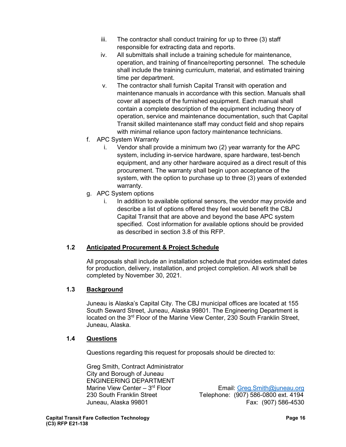- iii. The contractor shall conduct training for up to three (3) staff responsible for extracting data and reports.
- iv. All submittals shall include a training schedule for maintenance, operation, and training of finance/reporting personnel. The schedule shall include the training curriculum, material, and estimated training time per department.
- v. The contractor shall furnish Capital Transit with operation and maintenance manuals in accordance with this section. Manuals shall cover all aspects of the furnished equipment. Each manual shall contain a complete description of the equipment including theory of operation, service and maintenance documentation, such that Capital Transit skilled maintenance staff may conduct field and shop repairs with minimal reliance upon factory maintenance technicians.
- f. APC System Warranty
	- i. Vendor shall provide a minimum two (2) year warranty for the APC system, including in-service hardware, spare hardware, test-bench equipment, and any other hardware acquired as a direct result of this procurement. The warranty shall begin upon acceptance of the system, with the option to purchase up to three (3) years of extended warranty.
- g. APC System options
	- i. In addition to available optional sensors, the vendor may provide and describe a list of options offered they feel would benefit the CBJ Capital Transit that are above and beyond the base APC system specified. Cost information for available options should be provided as described in section 3.8 of this RFP.

#### **1.2 Anticipated Procurement & Project Schedule**

All proposals shall include an installation schedule that provides estimated dates for production, delivery, installation, and project completion. All work shall be completed by November 30, 2021.

#### **1.3 Background**

Juneau is Alaska's Capital City. The CBJ municipal offices are located at 155 South Seward Street, Juneau, Alaska 99801. The Engineering Department is located on the 3<sup>rd</sup> Floor of the Marine View Center, 230 South Franklin Street, Juneau, Alaska.

#### **1.4 Questions**

Questions regarding this request for proposals should be directed to:

Greg Smith, Contract Administrator City and Borough of Juneau ENGINEERING DEPARTMENT<br>Marine View Center - 3<sup>rd</sup> Floor

Marine View Center – 3<sup>rd</sup> Floor Filmail: *Greg.Smith@juneau.org*<br>1980 South Franklin Street Film Telephone: (907) 586-0800 ext. 4194 Telephone: (907) 586-0800 ext. 4194 Juneau, Alaska 99801 Fax: (907) 586-4530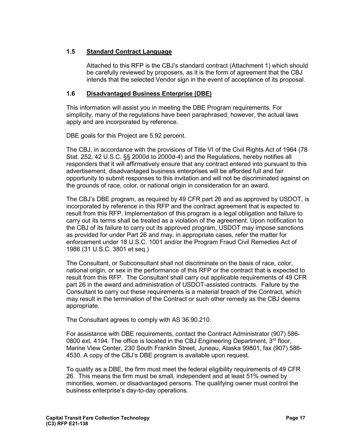#### **1.5 Standard Contract Language**

Attached to this RFP is the CBJ's standard contract (Attachment 1) which should be carefully reviewed by proposers, as it is the form of agreement that the CBJ intends that the selected Vendor sign in the event of acceptance of its proposal.

#### **1.6 Disadvantaged Business Enterprise (DBE)**

This information will assist you in meeting the DBE Program requirements. For simplicity, many of the regulations have been paraphrased; however, the actual laws apply and are incorporated by reference.

DBE goals for this Project are 5.92 percent.

The CBJ, in accordance with the provisions of Title VI of the Civil Rights Act of 1964 (78 Stat. 252, 42 U.S.C. §§ 2000d to 2000d-4) and the Regulations, hereby notifies all responders that it will affirmatively ensure that any contract entered into pursuant to this advertisement, disadvantaged business enterprises will be afforded full and fair opportunity to submit responses to this invitation and will not be discriminated against on the grounds of race, color, or national origin in consideration for an award.

The CBJ's DBE program, as required by 49 CFR part 26 and as approved by USDOT, is incorporated by reference in this RFP and the contract agreement that is expected to result from this RFP. Implementation of this program is a legal obligation and failure to carry out its terms shall be treated as a violation of the agreement. Upon notification to the CBJ of its failure to carry out its approved program, USDOT may impose sanctions as provided for under Part 26 and may, in appropriate cases, refer the matter for enforcement under 18 U.S.C. 1001 and/or the Program Fraud Civil Remedies Act of 1986 (31 U.S.C. 3801 et seq.)

The Consultant, or Subconsultant shall not discriminate on the basis of race, color, national origin, or sex in the performance of this RFP or the contract that is expected to result from this RFP. The Consultant shall carry out applicable requirements of 49 CFR part 26 in the award and administration of USDOT-assisted contracts. Failure by the Consultant to carry out these requirements is a material breach of the Contract, which may result in the termination of the Contract or such other remedy as the CBJ deems appropriate.

The Consultant agrees to comply with AS 36.90.210.

For assistance with DBE requirements, contact the Contract Administrator (907) 586- 0800 ext. 4194. The office is located in the CBJ Engineering Department,  $3<sup>rd</sup>$  floor, Marine View Center, 230 South Franklin Street, Juneau, Alaska 99801, fax (907) 586- 4530. A copy of the CBJ's DBE program is available upon request.

To qualify as a DBE, the firm must meet the federal eligibility requirements of 49 CFR 26. This means the firm must be small, independent and at least 51% owned by minorities, women, or disadvantaged persons. The qualifying owner must control the business enterprise's day-to-day operations.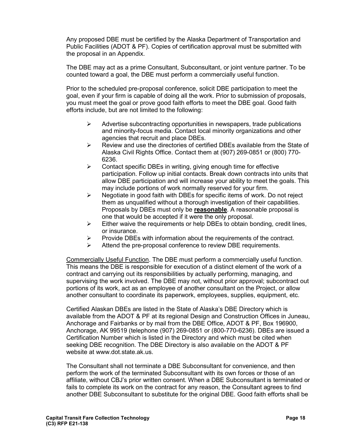Any proposed DBE must be certified by the Alaska Department of Transportation and Public Facilities (ADOT & PF). Copies of certification approval must be submitted with the proposal in an Appendix.

The DBE may act as a prime Consultant, Subconsultant, or joint venture partner. To be counted toward a goal, the DBE must perform a commercially useful function.

Prior to the scheduled pre-proposal conference, solicit DBE participation to meet the goal, even if your firm is capable of doing all the work. Prior to submission of proposals, you must meet the goal or prove good faith efforts to meet the DBE goal. Good faith efforts include, but are not limited to the following:

- $\triangleright$  Advertise subcontracting opportunities in newspapers, trade publications and minority-focus media. Contact local minority organizations and other agencies that recruit and place DBEs.
- $\triangleright$  Review and use the directories of certified DBEs available from the State of Alaska Civil Rights Office. Contact them at (907) 269-0851 or (800) 770- 6236.
- $\triangleright$  Contact specific DBEs in writing, giving enough time for effective participation. Follow up initial contacts. Break down contracts into units that allow DBE participation and will increase your ability to meet the goals. This may include portions of work normally reserved for your firm.
- $\triangleright$  Negotiate in good faith with DBEs for specific items of work. Do not reject them as unqualified without a thorough investigation of their capabilities. Proposals by DBEs must only be **reasonable**. A reasonable proposal is one that would be accepted if it were the only proposal.
- $\triangleright$  Either waive the requirements or help DBEs to obtain bonding, credit lines, or insurance.
- $\triangleright$  Provide DBEs with information about the requirements of the contract.
- $\triangleright$  Attend the pre-proposal conference to review DBE requirements.

Commercially Useful Function. The DBE must perform a commercially useful function. This means the DBE is responsible for execution of a distinct element of the work of a contract and carrying out its responsibilities by actually performing, managing, and supervising the work involved. The DBE may not, without prior approval; subcontract out portions of its work, act as an employee of another consultant on the Project, or allow another consultant to coordinate its paperwork, employees, supplies, equipment, etc.

Certified Alaskan DBEs are listed in the State of Alaska's DBE Directory which is available from the ADOT & PF at its regional Design and Construction Offices in Juneau, Anchorage and Fairbanks or by mail from the DBE Office, ADOT & PF, Box 196900, Anchorage, AK 99519 (telephone (907) 269-0851 or (800-770-6236). DBEs are issued a Certification Number which is listed in the Directory and which must be cited when seeking DBE recognition. The DBE Directory is also available on the ADOT & PF website at www.dot.state.ak.us.

The Consultant shall not terminate a DBE Subconsultant for convenience, and then perform the work of the terminated Subconsultant with its own forces or those of an affiliate, without CBJ's prior written consent. When a DBE Subconsultant is terminated or fails to complete its work on the contract for any reason, the Consultant agrees to find another DBE Subconsultant to substitute for the original DBE. Good faith efforts shall be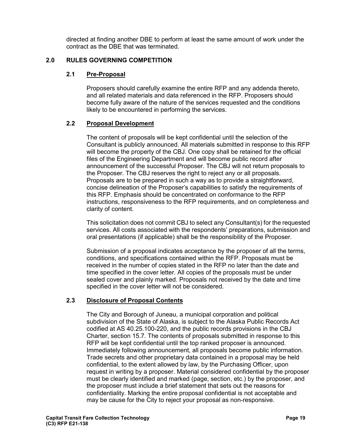directed at finding another DBE to perform at least the same amount of work under the contract as the DBE that was terminated.

#### **2.0 RULES GOVERNING COMPETITION**

#### **2.1 Pre-Proposal**

Proposers should carefully examine the entire RFP and any addenda thereto, and all related materials and data referenced in the RFP. Proposers should become fully aware of the nature of the services requested and the conditions likely to be encountered in performing the services.

#### **2.2 Proposal Development**

The content of proposals will be kept confidential until the selection of the Consultant is publicly announced. All materials submitted in response to this RFP will become the property of the CBJ. One copy shall be retained for the official files of the Engineering Department and will become public record after announcement of the successful Proposer. The CBJ will not return proposals to the Proposer. The CBJ reserves the right to reject any or all proposals. Proposals are to be prepared in such a way as to provide a straightforward, concise delineation of the Proposer's capabilities to satisfy the requirements of this RFP. Emphasis should be concentrated on conformance to the RFP instructions, responsiveness to the RFP requirements, and on completeness and clarity of content.

This solicitation does not commit CBJ to select any Consultant(s) for the requested services. All costs associated with the respondents' preparations, submission and oral presentations (if applicable) shall be the responsibility of the Proposer.

Submission of a proposal indicates acceptance by the proposer of all the terms, conditions, and specifications contained within the RFP. Proposals must be received in the number of copies stated in the RFP no later than the date and time specified in the cover letter. All copies of the proposals must be under sealed cover and plainly marked. Proposals not received by the date and time specified in the cover letter will not be considered.

#### **2.3 Disclosure of Proposal Contents**

The City and Borough of Juneau, a municipal corporation and political subdivision of the State of Alaska, is subject to the Alaska Public Records Act codified at AS 40.25.100-220, and the public records provisions in the CBJ Charter, section 15.7. The contents of proposals submitted in response to this RFP will be kept confidential until the top ranked proposer is announced. Immediately following announcement, all proposals become public information. Trade secrets and other proprietary data contained in a proposal may be held confidential, to the extent allowed by law, by the Purchasing Officer, upon request in writing by a proposer. Material considered confidential by the proposer must be clearly identified and marked (page, section, etc.) by the proposer, and the proposer must include a brief statement that sets out the reasons for confidentiality. Marking the entire proposal confidential is not acceptable and may be cause for the City to reject your proposal as non-responsive.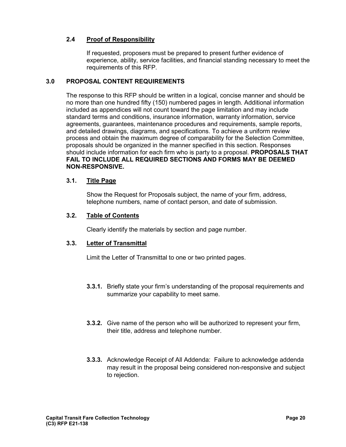#### **2.4 Proof of Responsibility**

If requested, proposers must be prepared to present further evidence of experience, ability, service facilities, and financial standing necessary to meet the requirements of this RFP.

#### **3.0 PROPOSAL CONTENT REQUIREMENTS**

The response to this RFP should be written in a logical, concise manner and should be no more than one hundred fifty (150) numbered pages in length. Additional information included as appendices will not count toward the page limitation and may include standard terms and conditions, insurance information, warranty information, service agreements, guarantees, maintenance procedures and requirements, sample reports, and detailed drawings, diagrams, and specifications. To achieve a uniform review process and obtain the maximum degree of comparability for the Selection Committee, proposals should be organized in the manner specified in this section. Responses should include information for each firm who is party to a proposal. **PROPOSALS THAT FAIL TO INCLUDE ALL REQUIRED SECTIONS AND FORMS MAY BE DEEMED NON-RESPONSIVE.** 

#### **3.1. Title Page**

Show the Request for Proposals subject, the name of your firm, address, telephone numbers, name of contact person, and date of submission.

#### **3.2. Table of Contents**

Clearly identify the materials by section and page number.

#### **3.3. Letter of Transmittal**

Limit the Letter of Transmittal to one or two printed pages.

- **3.3.1.** Briefly state your firm's understanding of the proposal requirements and summarize your capability to meet same.
- **3.3.2.** Give name of the person who will be authorized to represent your firm, their title, address and telephone number.
- **3.3.3.** Acknowledge Receipt of All Addenda: Failure to acknowledge addenda may result in the proposal being considered non-responsive and subject to rejection.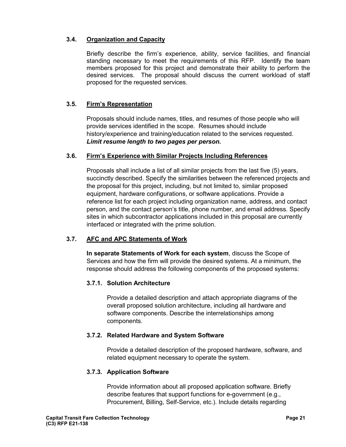#### **3.4. Organization and Capacity**

Briefly describe the firm's experience, ability, service facilities, and financial standing necessary to meet the requirements of this RFP. Identify the team members proposed for this project and demonstrate their ability to perform the desired services. The proposal should discuss the current workload of staff proposed for the requested services.

#### **3.5. Firm's Representation**

Proposals should include names, titles, and resumes of those people who will provide services identified in the scope. Resumes should include history/experience and training/education related to the services requested. *Limit resume length to two pages per person.*

#### **3.6. Firm's Experience with Similar Projects Including References**

Proposals shall include a list of all similar projects from the last five (5) years, succinctly described. Specify the similarities between the referenced projects and the proposal for this project, including, but not limited to, similar proposed equipment, hardware configurations, or software applications. Provide a reference list for each project including organization name, address, and contact person, and the contact person's title, phone number, and email address. Specify sites in which subcontractor applications included in this proposal are currently interfaced or integrated with the prime solution.

#### **3.7. AFC and APC Statements of Work**

**In separate Statements of Work for each system**, discuss the Scope of Services and how the firm will provide the desired systems. At a minimum, the response should address the following components of the proposed systems:

#### **3.7.1. Solution Architecture**

Provide a detailed description and attach appropriate diagrams of the overall proposed solution architecture, including all hardware and software components. Describe the interrelationships among components.

#### **3.7.2. Related Hardware and System Software**

Provide a detailed description of the proposed hardware, software, and related equipment necessary to operate the system.

#### **3.7.3. Application Software**

Provide information about all proposed application software. Briefly describe features that support functions for e-government (e.g., Procurement, Billing, Self-Service, etc.). Include details regarding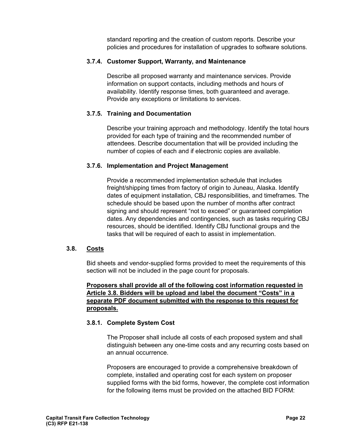standard reporting and the creation of custom reports. Describe your policies and procedures for installation of upgrades to software solutions.

#### **3.7.4. Customer Support, Warranty, and Maintenance**

Describe all proposed warranty and maintenance services. Provide information on support contacts, including methods and hours of availability. Identify response times, both guaranteed and average. Provide any exceptions or limitations to services.

#### **3.7.5. Training and Documentation**

Describe your training approach and methodology. Identify the total hours provided for each type of training and the recommended number of attendees. Describe documentation that will be provided including the number of copies of each and if electronic copies are available.

#### **3.7.6. Implementation and Project Management**

Provide a recommended implementation schedule that includes freight/shipping times from factory of origin to Juneau, Alaska. Identify dates of equipment installation, CBJ responsibilities, and timeframes. The schedule should be based upon the number of months after contract signing and should represent "not to exceed" or guaranteed completion dates. Any dependencies and contingencies, such as tasks requiring CBJ resources, should be identified. Identify CBJ functional groups and the tasks that will be required of each to assist in implementation.

#### **3.8. Costs**

Bid sheets and vendor-supplied forms provided to meet the requirements of this section will not be included in the page count for proposals.

#### **Proposers shall provide all of the following cost information requested in Article 3.8. Bidders will be upload and label the document "Costs" in a separate PDF document submitted with the response to this request for proposals.**

#### **3.8.1. Complete System Cost**

The Proposer shall include all costs of each proposed system and shall distinguish between any one-time costs and any recurring costs based on an annual occurrence.

Proposers are encouraged to provide a comprehensive breakdown of complete, installed and operating cost for each system on proposer supplied forms with the bid forms, however, the complete cost information for the following items must be provided on the attached BID FORM: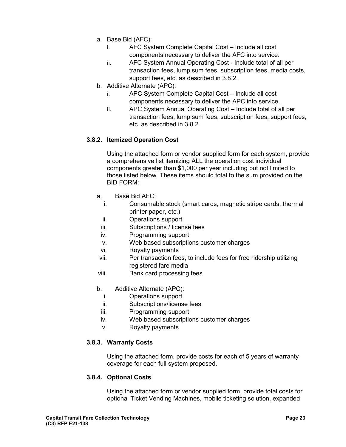- a. Base Bid (AFC):
	- i. AFC System Complete Capital Cost Include all cost components necessary to deliver the AFC into service.
	- ii. AFC System Annual Operating Cost Include total of all per transaction fees, lump sum fees, subscription fees, media costs, support fees, etc. as described in 3.8.2.
- b. Additive Alternate (APC):
	- i. APC System Complete Capital Cost Include all cost components necessary to deliver the APC into service.
	- ii. APC System Annual Operating Cost Include total of all per transaction fees, lump sum fees, subscription fees, support fees, etc. as described in 3.8.2.

#### **3.8.2. Itemized Operation Cost**

Using the attached form or vendor supplied form for each system, provide a comprehensive list itemizing ALL the operation cost individual components greater than \$1,000 per year including but not limited to those listed below. These items should total to the sum provided on the BID FORM:

- a. Base Bid AFC:
	- i. Consumable stock (smart cards, magnetic stripe cards, thermal printer paper, etc.)
	- ii. Operations support
- iii. Subscriptions / license fees
- iv. Programming support
- v. Web based subscriptions customer charges
- vi. Royalty payments
- vii. Per transaction fees, to include fees for free ridership utilizing registered fare media
- viii. Bank card processing fees
- b. Additive Alternate (APC):
- i. Operations support
- ii. Subscriptions/license fees
- iii. Programming support
- iv. Web based subscriptions customer charges
- v. Royalty payments

#### **3.8.3. Warranty Costs**

Using the attached form, provide costs for each of 5 years of warranty coverage for each full system proposed.

#### **3.8.4. Optional Costs**

Using the attached form or vendor supplied form, provide total costs for optional Ticket Vending Machines, mobile ticketing solution, expanded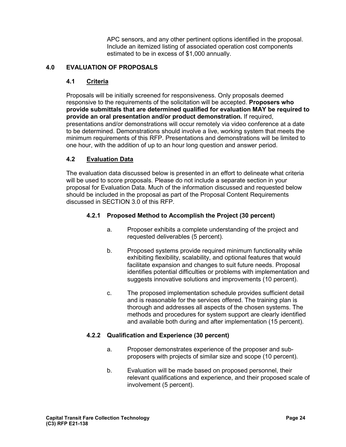APC sensors, and any other pertinent options identified in the proposal. Include an itemized listing of associated operation cost components estimated to be in excess of \$1,000 annually.

#### **4.0 EVALUATION OF PROPOSALS**

#### **4.1 Criteria**

Proposals will be initially screened for responsiveness. Only proposals deemed responsive to the requirements of the solicitation will be accepted. **Proposers who provide submittals that are determined qualified for evaluation MAY be required to provide an oral presentation and/or product demonstration.** If required, presentations and/or demonstrations will occur remotely via video conference at a date to be determined. Demonstrations should involve a live, working system that meets the minimum requirements of this RFP. Presentations and demonstrations will be limited to one hour, with the addition of up to an hour long question and answer period.

#### **4.2 Evaluation Data**

The evaluation data discussed below is presented in an effort to delineate what criteria will be used to score proposals. Please do not include a separate section in your proposal for Evaluation Data. Much of the information discussed and requested below should be included in the proposal as part of the Proposal Content Requirements discussed in SECTION 3.0 of this RFP.

#### **4.2.1 Proposed Method to Accomplish the Project (30 percent)**

- a. Proposer exhibits a complete understanding of the project and requested deliverables (5 percent).
- b. Proposed systems provide required minimum functionality while exhibiting flexibility, scalability, and optional features that would facilitate expansion and changes to suit future needs. Proposal identifies potential difficulties or problems with implementation and suggests innovative solutions and improvements (10 percent).
- c. The proposed implementation schedule provides sufficient detail and is reasonable for the services offered. The training plan is thorough and addresses all aspects of the chosen systems. The methods and procedures for system support are clearly identified and available both during and after implementation (15 percent).

#### **4.2.2 Qualification and Experience (30 percent)**

- a. Proposer demonstrates experience of the proposer and subproposers with projects of similar size and scope (10 percent).
- b. Evaluation will be made based on proposed personnel, their relevant qualifications and experience, and their proposed scale of involvement (5 percent).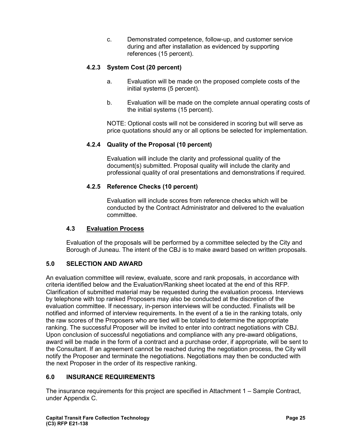c. Demonstrated competence, follow-up, and customer service during and after installation as evidenced by supporting references (15 percent).

### **4.2.3 System Cost (20 percent)**

- a. Evaluation will be made on the proposed complete costs of the initial systems (5 percent).
- b. Evaluation will be made on the complete annual operating costs of the initial systems (15 percent).

NOTE: Optional costs will not be considered in scoring but will serve as price quotations should any or all options be selected for implementation.

#### **4.2.4 Quality of the Proposal (10 percent)**

Evaluation will include the clarity and professional quality of the document(s) submitted. Proposal quality will include the clarity and professional quality of oral presentations and demonstrations if required.

#### **4.2.5 Reference Checks (10 percent)**

Evaluation will include scores from reference checks which will be conducted by the Contract Administrator and delivered to the evaluation committee.

#### **4.3 Evaluation Process**

Evaluation of the proposals will be performed by a committee selected by the City and Borough of Juneau. The intent of the CBJ is to make award based on written proposals.

#### **5.0 SELECTION AND AWARD**

An evaluation committee will review, evaluate, score and rank proposals, in accordance with criteria identified below and the Evaluation/Ranking sheet located at the end of this RFP. Clarification of submitted material may be requested during the evaluation process. Interviews by telephone with top ranked Proposers may also be conducted at the discretion of the evaluation committee. If necessary, in-person interviews will be conducted. Finalists will be notified and informed of interview requirements. In the event of a tie in the ranking totals, only the raw scores of the Proposers who are tied will be totaled to determine the appropriate ranking. The successful Proposer will be invited to enter into contract negotiations with CBJ. Upon conclusion of successful negotiations and compliance with any pre-award obligations, award will be made in the form of a contract and a purchase order, if appropriate, will be sent to the Consultant. If an agreement cannot be reached during the negotiation process, the City will notify the Proposer and terminate the negotiations. Negotiations may then be conducted with the next Proposer in the order of its respective ranking.

#### **6.0 INSURANCE REQUIREMENTS**

The insurance requirements for this project are specified in Attachment 1 – Sample Contract, under Appendix C.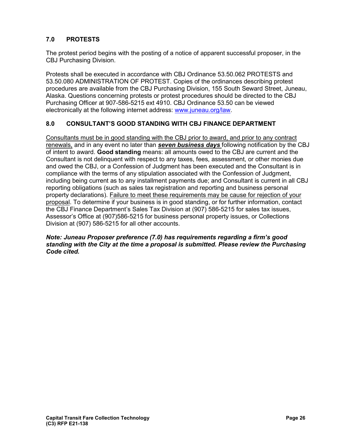### **7.0 PROTESTS**

The protest period begins with the posting of a notice of apparent successful proposer, in the CBJ Purchasing Division.

Protests shall be executed in accordance with CBJ Ordinance 53.50.062 PROTESTS and 53.50.080 ADMINISTRATION OF PROTEST. Copies of the ordinances describing protest procedures are available from the CBJ Purchasing Division, 155 South Seward Street, Juneau, Alaska. Questions concerning protests or protest procedures should be directed to the CBJ Purchasing Officer at 907-586-5215 ext 4910. CBJ Ordinance 53.50 can be viewed electronically at the following internet address: [www.juneau.org/law.](http://www.juneau.org/law)

#### **8.0 CONSULTANT'S GOOD STANDING WITH CBJ FINANCE DEPARTMENT**

Consultants must be in good standing with the CBJ prior to award, and prior to any contract renewals, and in any event no later than *seven business days* following notification by the CBJ of intent to award. **Good standing** means: all amounts owed to the CBJ are current and the Consultant is not delinquent with respect to any taxes, fees, assessment, or other monies due and owed the CBJ, or a Confession of Judgment has been executed and the Consultant is in compliance with the terms of any stipulation associated with the Confession of Judgment, including being current as to any installment payments due; and Consultant is current in all CBJ reporting obligations (such as sales tax registration and reporting and business personal property declarations). Failure to meet these requirements may be cause for rejection of your proposal. To determine if your business is in good standing, or for further information, contact the CBJ Finance Department's Sales Tax Division at (907) 586-5215 for sales tax issues, Assessor's Office at (907)586-5215 for business personal property issues, or Collections Division at (907) 586-5215 for all other accounts.

#### *Note: Juneau Proposer preference (7.0) has requirements regarding a firm's good standing with the City at the time a proposal is submitted. Please review the Purchasing Code cited.*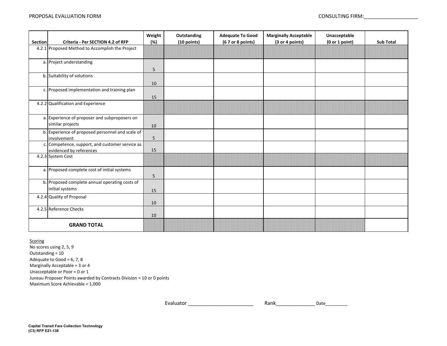| <b>Section</b> | Criteria - Per SECTION 4.2 of RFP                                          | Weight<br>(%) | Outstanding<br>(10 points) | <b>Adequate To Good</b><br>(6 7 or 8 points) | <b>Marginally Acceptable</b><br>(3 or 4 points) | Unacceptable<br>(0 or 1 point) | <b>Sub Total</b> |
|----------------|----------------------------------------------------------------------------|---------------|----------------------------|----------------------------------------------|-------------------------------------------------|--------------------------------|------------------|
|                | 4.2.1 Proposed Method to Accomplish the Project                            |               |                            |                                              |                                                 |                                |                  |
|                | a. Project understanding                                                   | 5             |                            |                                              |                                                 |                                |                  |
|                | b. Suitability of solutions                                                | 10            |                            |                                              |                                                 |                                |                  |
|                | c. Proposed implementation and training plan                               | 15            |                            |                                              |                                                 |                                |                  |
|                | 4.2.2 Qualification and Experience                                         |               |                            |                                              |                                                 |                                |                  |
|                | a. Experience of proposer and subproposers on<br>similar projects          | 10            |                            |                                              |                                                 |                                |                  |
|                | b. Experience of proposed personnel and scale of<br>involvement            | 5             |                            |                                              |                                                 |                                |                  |
|                | c. Competence, support, and customer service as<br>evidenced by references | 15            |                            |                                              |                                                 |                                |                  |
|                | 4.2.3 System Cost                                                          |               |                            |                                              |                                                 |                                |                  |
|                | a. Proposed complete cost of initial systems                               | 5             |                            |                                              |                                                 |                                |                  |
|                | b. Proposed complete annual operating costs of<br>initial systems          | 15            |                            |                                              |                                                 |                                |                  |
|                | 4.2.4 Quality of Proposal                                                  | 10            |                            |                                              |                                                 |                                |                  |
|                | 4.2.5 Reference Checks                                                     | 10            |                            |                                              |                                                 |                                |                  |
|                | <b>GRAND TOTAL</b>                                                         |               |                            |                                              |                                                 |                                |                  |

**Scoring** 

No scores using 2, 5, 9 Maximum Score Achievable = 1,000 Juneau Proposer Points awarded by Contracts Division = 10 or 0 points Outstanding = 10 Adequate to Good =  $6, 7, 8$ Marginally Acceptable = 3 or 4 Unacceptable or Poor = 0 or 1

> Rank\_\_\_\_\_\_\_\_\_\_\_\_\_\_Date\_\_\_\_\_\_\_\_\_ Evaluator \_\_\_\_\_\_\_\_\_\_\_\_\_\_\_\_\_\_\_\_\_\_\_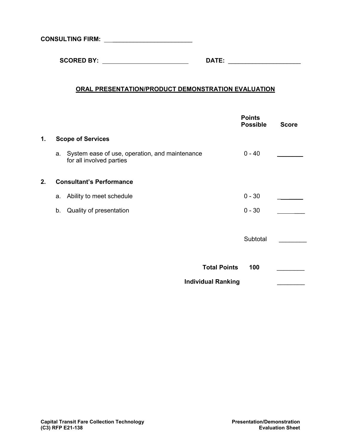**CONSULTING FIRM:** \_\_\_\_\_\_\_\_\_\_\_\_\_\_\_\_\_\_\_\_\_\_\_

 **SCORED BY: DATE:** \_\_\_\_\_\_\_\_\_\_\_\_\_\_\_\_\_\_\_\_\_

### **ORAL PRESENTATION/PRODUCT DEMONSTRATION EVALUATION**

|    |    |                                                                            | <b>Points</b><br><b>Possible</b> | <b>Score</b> |
|----|----|----------------------------------------------------------------------------|----------------------------------|--------------|
| 1. |    | <b>Scope of Services</b>                                                   |                                  |              |
|    | a. | System ease of use, operation, and maintenance<br>for all involved parties | $0 - 40$                         |              |
| 2. |    | <b>Consultant's Performance</b>                                            |                                  |              |
|    | а. | Ability to meet schedule                                                   | $0 - 30$                         |              |
|    | b. | Quality of presentation                                                    | $0 - 30$                         |              |
|    |    |                                                                            |                                  |              |
|    |    |                                                                            | Subtotal                         |              |
|    |    |                                                                            |                                  |              |
|    |    | <b>Total Points</b>                                                        | 100                              |              |
|    |    | <b>Individual Ranking</b>                                                  |                                  |              |
|    |    |                                                                            |                                  |              |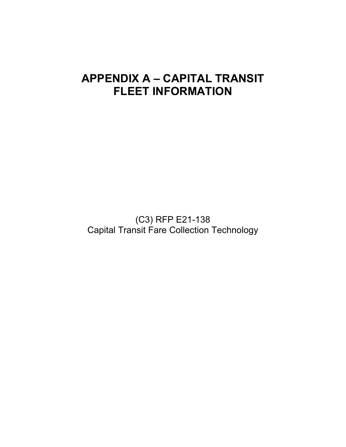# **APPENDIX A – CAPITAL TRANSIT FLEET INFORMATION**

(C3) RFP E21-138 Capital Transit Fare Collection Technology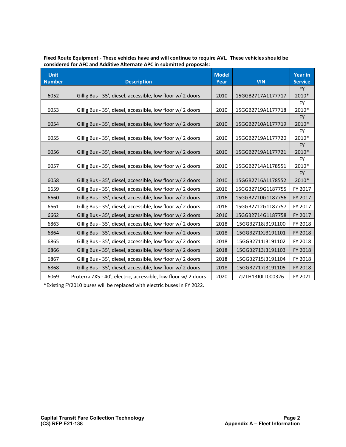| <b>Unit</b><br><b>Number</b> | <b>Description</b>                                             | <b>Model</b><br>Year | <b>VIN</b>        | <b>Year in</b><br><b>Service</b> |
|------------------------------|----------------------------------------------------------------|----------------------|-------------------|----------------------------------|
|                              |                                                                |                      |                   | <b>FY</b>                        |
| 6052                         | Gillig Bus - 35', diesel, accessible, low floor w/ 2 doors     | 2010                 | 15GGB2717A1177717 | 2010*                            |
| 6053                         | Gillig Bus - 35', diesel, accessible, low floor w/ 2 doors     | 2010                 | 15GGB2719A1177718 | <b>FY</b><br>2010*               |
|                              |                                                                |                      |                   | <b>FY</b>                        |
| 6054                         | Gillig Bus - 35', diesel, accessible, low floor w/ 2 doors     | 2010                 | 15GGB2710A1177719 | 2010*                            |
|                              |                                                                |                      |                   | <b>FY</b>                        |
| 6055                         | Gillig Bus - 35', diesel, accessible, low floor w/ 2 doors     | 2010                 | 15GGB2719A1177720 | 2010*                            |
|                              |                                                                |                      |                   | <b>FY</b>                        |
| 6056                         | Gillig Bus - 35', diesel, accessible, low floor w/ 2 doors     | 2010                 | 15GGB2719A1177721 | 2010*                            |
| 6057                         | Gillig Bus - 35', diesel, accessible, low floor w/ 2 doors     | 2010                 | 15GGB2714A1178551 | <b>FY</b><br>2010*               |
|                              |                                                                |                      |                   | <b>FY</b>                        |
| 6058                         | Gillig Bus - 35', diesel, accessible, low floor w/ 2 doors     | 2010                 | 15GGB2716A1178552 | 2010*                            |
| 6659                         | Gillig Bus - 35', diesel, accessible, low floor w/ 2 doors     | 2016                 | 15GGB2719G1187755 | FY 2017                          |
| 6660                         | Gillig Bus - 35', diesel, accessible, low floor w/ 2 doors     | 2016                 | 15GGB2710G1187756 | FY 2017                          |
| 6661                         | Gillig Bus - 35', diesel, accessible, low floor w/ 2 doors     | 2016                 | 15GGB2712G1187757 | FY 2017                          |
| 6662                         | Gillig Bus - 35', diesel, accessible, low floor w/ 2 doors     | 2016                 | 15GGB2714G1187758 | FY 2017                          |
| 6863                         | Gillig Bus - 35', diesel, accessible, low floor w/ 2 doors     | 2018                 | 15GGB2718J3191100 | FY 2018                          |
| 6864                         | Gillig Bus - 35', diesel, accessible, low floor w/ 2 doors     | 2018                 | 15GGB271XJ3191101 | FY 2018                          |
| 6865                         | Gillig Bus - 35', diesel, accessible, low floor w/ 2 doors     | 2018                 | 15GGB2711J3191102 | FY 2018                          |
| 6866                         | Gillig Bus - 35', diesel, accessible, low floor w/ 2 doors     | 2018                 | 15GGB2713J3191103 | FY 2018                          |
| 6867                         | Gillig Bus - 35', diesel, accessible, low floor w/ 2 doors     | 2018                 | 15GGB2715J3191104 | FY 2018                          |
| 6868                         | Gillig Bus - 35', diesel, accessible, low floor w/ 2 doors     | 2018                 | 15GGB2717J3191105 | FY 2018                          |
| 6069                         | Proterra ZX5 - 40', electric, accessible, low floor w/ 2 doors | 2020                 | 7JZTH13J0LL000326 | FY 2021                          |

| Fixed Route Equipment - These vehicles have and will continue to require AVL. These vehicles should be |  |
|--------------------------------------------------------------------------------------------------------|--|
| considered for AFC and Additive Alternate APC in submitted proposals:                                  |  |

\*Existing FY2010 buses will be replaced with electric buses in FY 2022.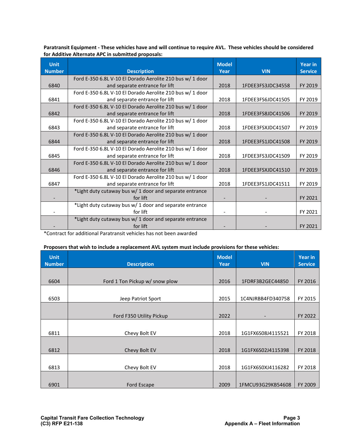**Paratransit Equipment - These vehicles have and will continue to require AVL. These vehicles should be considered for Additive Alternate APC in submitted proposals:**

| <b>Unit</b><br><b>Number</b> | <b>Description</b>                                        | <b>Model</b><br>Year | <b>VIN</b>        | <b>Year in</b><br><b>Service</b> |
|------------------------------|-----------------------------------------------------------|----------------------|-------------------|----------------------------------|
|                              | Ford E-350 6.8L V-10 El Dorado Aerolite 210 bus w/ 1 door |                      |                   |                                  |
| 6840                         | and separate entrance for lift                            | 2018                 | 1FDEE3FS3JDC34558 | FY 2019                          |
|                              | Ford E-350 6.8L V-10 El Dorado Aerolite 210 bus w/ 1 door |                      |                   |                                  |
| 6841                         | and separate entrance for lift                            | 2018                 | 1FDEE3FS6JDC41505 | FY 2019                          |
|                              | Ford E-350 6.8L V-10 El Dorado Aerolite 210 bus w/ 1 door |                      |                   |                                  |
| 6842                         | and separate entrance for lift                            | 2018                 | 1FDEE3FS8JDC41506 | FY 2019                          |
|                              | Ford E-350 6.8L V-10 El Dorado Aerolite 210 bus w/ 1 door |                      |                   |                                  |
| 6843                         | and separate entrance for lift                            | 2018                 | 1FDEE3FSXJDC41507 | FY 2019                          |
|                              | Ford E-350 6.8L V-10 El Dorado Aerolite 210 bus w/ 1 door |                      |                   |                                  |
| 6844                         | and separate entrance for lift                            | 2018                 | 1FDEE3FS1JDC41508 | FY 2019                          |
|                              | Ford E-350 6.8L V-10 El Dorado Aerolite 210 bus w/ 1 door |                      |                   |                                  |
| 6845                         | and separate entrance for lift                            | 2018                 | 1FDEE3FS3JDC41509 | FY 2019                          |
|                              | Ford E-350 6.8L V-10 El Dorado Aerolite 210 bus w/ 1 door |                      |                   |                                  |
| 6846                         | and separate entrance for lift                            | 2018                 | 1FDEE3FSXJDC41510 | FY 2019                          |
|                              | Ford E-350 6.8L V-10 El Dorado Aerolite 210 bus w/ 1 door |                      |                   |                                  |
| 6847                         | and separate entrance for lift                            | 2018                 | 1FDEE3FS1JDC41511 | FY 2019                          |
|                              | *Light duty cutaway bus w/ 1 door and separate entrance   |                      |                   |                                  |
|                              | for lift                                                  |                      |                   | FY 2021                          |
|                              | *Light duty cutaway bus w/ 1 door and separate entrance   |                      |                   |                                  |
|                              | for lift                                                  |                      |                   | FY 2021                          |
|                              | *Light duty cutaway bus w/ 1 door and separate entrance   |                      |                   |                                  |
|                              | for lift                                                  |                      |                   | FY 2021                          |

\*Contract for additional Paratransit vehicles has not been awarded

#### **Proposers that wish to include a replacement AVL system must include provisions for these vehicles:**

| <b>Unit</b><br><b>Number</b> | <b>Description</b>             | <b>Model</b><br>Year | <b>VIN</b>        | Year in<br><b>Service</b> |
|------------------------------|--------------------------------|----------------------|-------------------|---------------------------|
|                              |                                |                      |                   |                           |
| 6604                         | Ford 1 Ton Pickup w/ snow plow | 2016                 | 1FDRF3B2GEC44850  | FY 2016                   |
|                              |                                |                      |                   |                           |
| 6503                         | Jeep Patriot Sport             | 2015                 | 1C4NJRBB4FD340758 | FY 2015                   |
|                              |                                |                      |                   |                           |
|                              | Ford F350 Utility Pickup       | 2022                 |                   | FY 2022                   |
|                              |                                |                      |                   |                           |
| 6811                         | Chevy Bolt EV                  | 2018                 | 1G1FX6S08J4115521 | FY 2018                   |
|                              |                                |                      |                   |                           |
| 6812                         | Chevy Bolt EV                  | 2018                 | 1G1FX6S02J4115398 | FY 2018                   |
|                              |                                |                      |                   |                           |
| 6813                         | Chevy Bolt EV                  | 2018                 | 1G1FX6S0XJ4116282 | FY 2018                   |
|                              |                                |                      |                   |                           |
| 6901                         | Ford Escape                    | 2009                 | 1FMCU93G29KB54608 | FY 2009                   |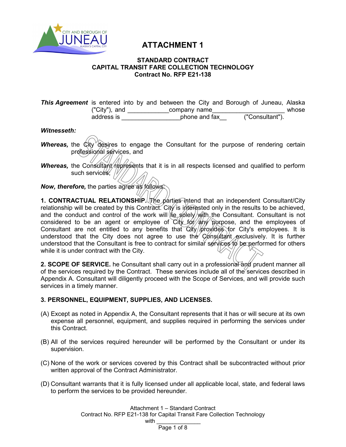

## **ATTACHMENT 1**

#### **STANDARD CONTRACT CAPITAL TRANSIT FARE COLLECTION TECHNOLOGY Contract No. RFP E21-138**

**This Agreement** is entered into by and between the City and Borough of Juneau, Alaska ("City"), and \_\_\_\_\_\_\_\_\_\_\_\_\_\_company name\_\_\_\_\_\_\_\_\_\_\_\_\_\_\_\_\_\_\_\_\_\_\_\_\_\_\_ whose address is \_\_\_\_\_\_\_\_\_\_\_\_\_\_\_\_\_phone and fax\_\_ ("Consultant").

#### *Witnesseth:*

- **Whereas,** the City desires to engage the Consultant for the purpose of rendering certain professional services, and
- *Whereas,* the Consultant/represents that it is in all respects licensed and qualified to perform such services; //

*Now, therefore,* the parties agree as follows:

**1. CONTRACTUAL RELATIONSHIP.** The parties intend that an independent Consultant/City relationship will be created by this Contract. City is interested only in the results to be achieved, and the conduct and control of the work will  $\left(\frac{1}{2} \sin\left(\frac{1}{2}\right)\right)$  and the Consultant. Consultant is not considered to be an agent or employee of  $City_f$   $60$  any purpose, and the employees of Consultant are not entitled to any benefits that  $\frac{C}{t}$  provides for City's employees. It is understood that the City does not agree to use the Consultant exclusively. It is further understood that the Consultant is free to contract for similar services to be performed for others while it is under contract with the City.

2. SCOPE OF SERVICE. he Consultant shall carry out in a professional and prudent manner all of the services required by the Contract. These services include all of the services described in Appendix A. Consultant will diligently proceed with the Scope of Services, and will provide such services in a timely manner.

#### **3. PERSONNEL, EQUIPMENT, SUPPLIES, AND LICENSES.**

- (A) Except as noted in Appendix A, the Consultant represents that it has or will secure at its own expense all personnel, equipment, and supplies required in performing the services under this Contract.
- (B) All of the services required hereunder will be performed by the Consultant or under its supervision.
- (C) None of the work or services covered by this Contract shall be subcontracted without prior written approval of the Contract Administrator.
- (D) Consultant warrants that it is fully licensed under all applicable local, state, and federal laws to perform the services to be provided hereunder.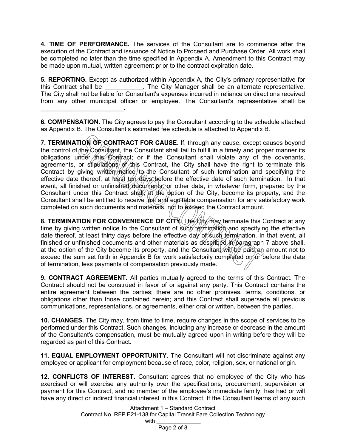**4. TIME OF PERFORMANCE.** The services of the Consultant are to commence after the execution of the Contract and issuance of Notice to Proceed and Purchase Order. All work shall be completed no later than the time specified in Appendix A. Amendment to this Contract may be made upon mutual, written agreement prior to the contract expiration date.

**5. REPORTING.** Except as authorized within Appendix A, the City's primary representative for this Contract shall be  $\qquad \qquad$  . The City Manager shall be an alternate representative. The City shall not be liable for Consultant's expenses incurred in reliance on directions received from any other municipal officer or employee. The Consultant's representative shall be \_\_\_\_\_\_\_\_\_\_\_\_\_\_\_\_\_\_\_\_\_\_\_\_.

**6. COMPENSATION.** The City agrees to pay the Consultant according to the schedule attached as Appendix B. The Consultant's estimated fee schedule is attached to Appendix B.

**7. TERMINATION OF CONTRACT FOR CAUSE.** If, through any cause, except causes beyond the control of the Consultant, the Consultant shall fail to fulfill in a timely and proper manner its obligations under this Contract; or if the Consultant shall violate any of the covenants, agreements, or stipulations  $\frac{g}{f}$  this Contract, the City shall have the right to terminate this Contract by giving written  $m$  to the Consultant of such termination and specifying the effective date thereof, at least ten days before the effective date of such termination. In that event. all finished or unfinished documents, or other data, in whatever form, prepared by the Consultant under this Contract shall, at the option of the City, become its property, and the Consultant shall be entitled to receive just and equitable compensation for any satisfactory work completed on such documents and materials, not to exceed the Contract amount.

**8. TERMINATION FOR CONVENIENCE OF CITY.** The City may terminate this Contract at any time by giving written notice to the Consultant of such termination and specifying the effective date thereof, at least thirty days before the effective day of such termination. In that event, all finished or unfinished documents and other materials as described in paragraph 7 above shall, at the option of the City become its property, and the Consultant will be paid an amount not to exceed the sum set forth in Appendix B for work satisfactorily completed on or before the date of termination, less payments of compensation previously made.

**9. CONTRACT AGREEMENT.** All parties mutually agreed to the terms of this Contract. The Contract should not be construed in favor of or against any party. This Contract contains the entire agreement between the parties; there are no other promises, terms, conditions, or obligations other than those contained herein; and this Contract shall supersede all previous communications, representations, or agreements, either oral or written, between the parties.

**10. CHANGES.** The City may, from time to time, require changes in the scope of services to be performed under this Contract. Such changes, including any increase or decrease in the amount of the Consultant's compensation, must be mutually agreed upon in writing before they will be regarded as part of this Contract.

**11. EQUAL EMPLOYMENT OPPORTUNITY.** The Consultant will not discriminate against any employee or applicant for employment because of race, color, religion, sex, or national origin.

**12. CONFLICTS OF INTEREST.** Consultant agrees that no employee of the City who has exercised or will exercise any authority over the specifications, procurement, supervision or payment for this Contract, and no member of the employee's immediate family, has had or will have any direct or indirect financial interest in this Contract. If the Consultant learns of any such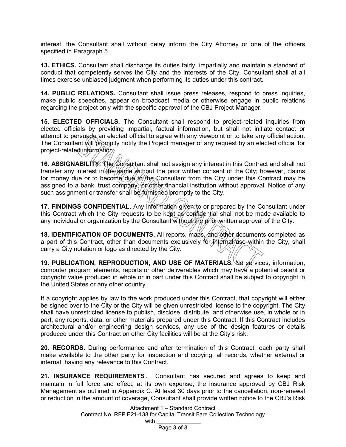interest, the Consultant shall without delay inform the City Attorney or one of the officers specified in Paragraph 5.

**13. ETHICS.** Consultant shall discharge its duties fairly, impartially and maintain a standard of conduct that competently serves the City and the interests of the City. Consultant shall at all times exercise unbiased judgment when performing its duties under this contract.

**14. PUBLIC RELATIONS.** Consultant shall issue press releases, respond to press inquiries, make public speeches, appear on broadcast media or otherwise engage in public relations regarding the project only with the specific approval of the CBJ Project Manager.

**15. ELECTED OFFICIALS.** The Consultant shall respond to project-related inquiries from elected officials by providing impartial, factual information, but shall not initiate contact or attempt to persuade an elected official to agree with any viewpoint or to take any official action. The Consultant will promptly notify the Project manager of any request by an elected official for project-related information.

16. ASSIGNABILITY. *The Consultant shall not assign any interest in this Contract and shall not* transfer any interest in the same without the prior written consent of the City; however, claims for money due or to become due to the Consultant from the City under this Contract may be assigned to a bank, trust company, or other financial institution without approval. Notice of any such assignment or transfer shall be furnished promptly to the City.

**17. FINDINGS CONFIDENTIAL.** Any information given to or prepared by the Consultant under this Contract which the City requests to be kept as confidential shall not be made available to any individual or organization by the Consultant without the prior written approval of the City.

**18. IDENTIFICATION OF DOCUMENTS.** All reports, maps, and other documents completed as a part of this Contract, other than documents exclusively for internal use within the City, shall carry a City notation or logo as directed by the City.

**19. PUBLICATION, REPRODUCTION, AND USE OF MATERIALS.** No services, information, computer program elements, reports or other deliverables which may have a potential patent or copyright value produced in whole or in part under this Contract shall be subject to copyright in the United States or any other country.

If a copyright applies by law to the work produced under this Contract, that copyright will either be signed over to the City or the City will be given unrestricted license to the copyright. The City shall have unrestricted license to publish, disclose, distribute, and otherwise use, in whole or in part, any reports, data, or other materials prepared under this Contract. If this Contract includes architectural and/or engineering design services, any use of the design features or details produced under this Contract on other City facilities will be at the City's risk.

**20. RECORDS.** During performance and after termination of this Contract, each party shall make available to the other party for inspection and copying, all records, whether external or internal, having any relevance to this Contract.

**21. INSURANCE REQUIREMENTS.** Consultant has secured and agrees to keep and maintain in full force and effect, at its own expense, the insurance approved by CBJ Risk Management as outlined in Appendix C. At least 30 days prior to the cancellation, non-renewal or reduction in the amount of coverage, Consultant shall provide written notice to the CBJ's Risk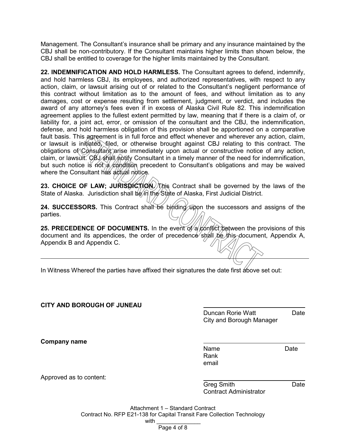Management. The Consultant's insurance shall be primary and any insurance maintained by the CBJ shall be non-contributory. If the Consultant maintains higher limits than shown below, the CBJ shall be entitled to coverage for the higher limits maintained by the Consultant.

**22. INDEMNIFICATION AND HOLD HARMLESS.** The Consultant agrees to defend, indemnify, and hold harmless CBJ, its employees, and authorized representatives, with respect to any action, claim, or lawsuit arising out of or related to the Consultant's negligent performance of this contract without limitation as to the amount of fees, and without limitation as to any damages, cost or expense resulting from settlement, judgment, or verdict, and includes the award of any attorney's fees even if in excess of Alaska Civil Rule 82. This indemnification agreement applies to the fullest extent permitted by law, meaning that if there is a claim of, or liability for, a joint act, error, or omission of the consultant and the CBJ, the indemnification, defense, and hold harmless obligation of this provision shall be apportioned on a comparative fault basis. This agreement is in full force and effect whenever and wherever any action, claim, or lawsuit is initiated, filed, or otherwise brought against CBJ relating to this contract. The obligations of Consultant arise immediately upon actual or constructive notice of any action, claim, or lawsuit. CBJ shall notify Consultant in a timely manner of the need for indemnification, but such notice is not a condition precedent to Consultant's obligations and may be waived where the Consultant has actual notice.

**23. CHOICE OF LAW; JURISDICTION.** This Contract shall be governed by the laws of the State of Alaska. Jurisdiction shall be in the State of Alaska, First Judicial District.

24. SUCCESSORS. This Contract shall be binding upon the successors and assigns of the parties.

**25. PRECEDENCE OF DOCUMENTS.** In the event of a conflict between the provisions of this document and its appendices, the order of precedence shall be this document, Appendix A, Appendix B and Appendix C.

In Witness Whereof the parties have affixed their signatures the date first above set out:

#### **CITY AND BOROUGH OF JUNEAU**

Duncan Rorie Watt **Date** City and Borough Manager

**Company name**

Name Date Rank email

Approved as to content:

Greg Smith **Date** Contract Administrator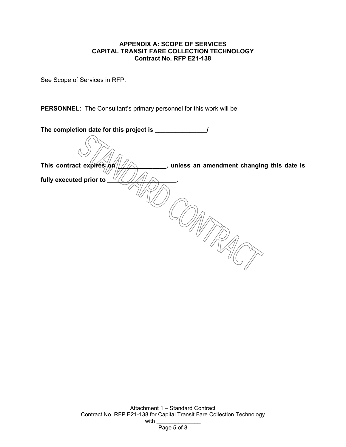#### **APPENDIX A: SCOPE OF SERVICES CAPITAL TRANSIT FARE COLLECTION TECHNOLOGY Contract No. RFP E21-138**

See Scope of Services in RFP.

**PERSONNEL:** The Consultant's primary personnel for this work will be:

| The completion date for this project is ___                           |
|-----------------------------------------------------------------------|
|                                                                       |
| This contract expires on<br>unless an amendment changing this date is |
| fully executed prior to                                               |
|                                                                       |
|                                                                       |
|                                                                       |
|                                                                       |
|                                                                       |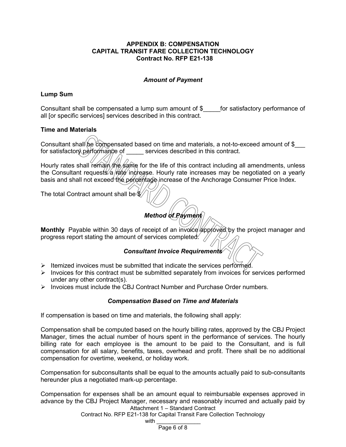#### **APPENDIX B: COMPENSATION CAPITAL TRANSIT FARE COLLECTION TECHNOLOGY Contract No. RFP E21-138**

#### *Amount of Payment*

#### **Lump Sum**

Consultant shall be compensated a lump sum amount of \$\_\_\_\_\_for satisfactory performance of all [or specific services] services described in this contract.

#### **Time and Materials**

Consultant shall be compensated based on time and materials, a not-to-exceed amount of \$ for satisfactory performance of services described in this contract.

Hourly rates shall remain the same for the life of this contract including all amendments, unless the Consultant requests/a/rate increase. Hourly rate increases may be negotiated on a yearly basis and shall not exceed the percentage increase of the Anchorage Consumer Price Index.

The total Contract amount shall be  $\%$ 

## *Method of Payment*

Monthly Payable within 30 days of receipt of an involce approved by the project manager and progress report stating the amount of services completed.  $\sqrt{ }$ 

#### *Consultant Invoice Requirements*

- $\triangleright$  Itemized invoices must be submitted that indicate the services performed.
- $\triangleright$  Invoices for this contract must be submitted separately from invoices for services performed under any other contract(s).
- $\triangleright$  Invoices must include the CBJ Contract Number and Purchase Order numbers.

#### *Compensation Based on Time and Materials*

If compensation is based on time and materials, the following shall apply:

Compensation shall be computed based on the hourly billing rates, approved by the CBJ Project Manager, times the actual number of hours spent in the performance of services. The hourly billing rate for each employee is the amount to be paid to the Consultant, and is full compensation for all salary, benefits, taxes, overhead and profit. There shall be no additional compensation for overtime, weekend, or holiday work.

Compensation for subconsultants shall be equal to the amounts actually paid to sub-consultants hereunder plus a negotiated mark-up percentage.

Attachment 1 – Standard Contract Compensation for expenses shall be an amount equal to reimbursable expenses approved in advance by the CBJ Project Manager, necessary and reasonably incurred and actually paid by

Contract No. RFP E21-138 for Capital Transit Fare Collection Technology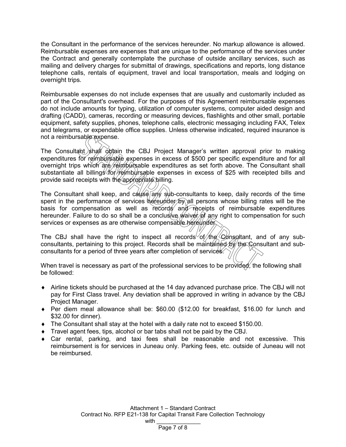the Consultant in the performance of the services hereunder. No markup allowance is allowed. Reimbursable expenses are expenses that are unique to the performance of the services under the Contract and generally contemplate the purchase of outside ancillary services, such as mailing and delivery charges for submittal of drawings, specifications and reports, long distance telephone calls, rentals of equipment, travel and local transportation, meals and lodging on overnight trips.

Reimbursable expenses do not include expenses that are usually and customarily included as part of the Consultant's overhead. For the purposes of this Agreement reimbursable expenses do not include amounts for typing, utilization of computer systems, computer aided design and drafting (CADD), cameras, recording or measuring devices, flashlights and other small, portable equipment, safety supplies, phones, telephone calls, electronic messaging including FAX, Telex and telegrams, or expendable office supplies. Unless otherwise indicated, required insurance is not a reimbursable expense.

The Consultant shall obtain the CBJ Project Manager's written approval prior to making expenditures for reimbursable expenses in excess of \$500 per specific expenditure and for all overnight trips which are reimbursable expenditures as set forth above. The Consultant shall substantiate all billings for reimbursable expenses in excess of \$25 with receipted bills and provide said receipts with the appropriate billing.

The Consultant shall keep, and  $c$ ause any sub-consultants to keep, daily records of the time spent in the performance of services hereunder by all persons whose billing rates will be the basis for compensation as well as records and receipts of reimbursable expenditures hereunder. Failure to do so shall be a conclusive *waiver* of any right to compensation for such services or expenses as are otherwise compensable hereunder.

The CBJ shall have the right to inspect all records of the Consultant, and of any subconsultants, pertaining to this project. Records shall be maintained by the Consultant and subconsultants for a period of three years after completion of services.

When travel is necessary as part of the professional services to be provided, the following shall be followed:

- ♦ Airline tickets should be purchased at the 14 day advanced purchase price. The CBJ will not pay for First Class travel. Any deviation shall be approved in writing in advance by the CBJ Project Manager.
- ♦ Per diem meal allowance shall be: \$60.00 (\$12.00 for breakfast, \$16.00 for lunch and \$32.00 for dinner).
- $\bullet$  The Consultant shall stay at the hotel with a daily rate not to exceed \$150.00.
- ♦ Travel agent fees, tips, alcohol or bar tabs shall not be paid by the CBJ.
- $\bullet$  Car rental, parking, and taxi fees shall be reasonable and not excessive. This reimbursement is for services in Juneau only. Parking fees, etc. outside of Juneau will not be reimbursed.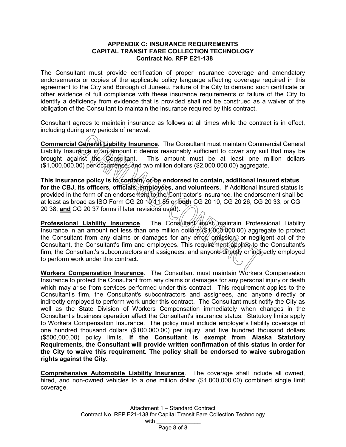#### **APPENDIX C: INSURANCE REQUIREMENTS CAPITAL TRANSIT FARE COLLECTION TECHNOLOGY Contract No. RFP E21-138**

The Consultant must provide certification of proper insurance coverage and amendatory endorsements or copies of the applicable policy language affecting coverage required in this agreement to the City and Borough of Juneau. Failure of the City to demand such certificate or other evidence of full compliance with these insurance requirements or failure of the City to identify a deficiency from evidence that is provided shall not be construed as a waiver of the obligation of the Consultant to maintain the insurance required by this contract.

Consultant agrees to maintain insurance as follows at all times while the contract is in effect, including during any periods of renewal.

**Commercial General Liability Insurance**. The Consultant must maintain Commercial General Liability Insurance in an amount it deems reasonably sufficient to cover any suit that may be brought against the Consultant. This amount must be at least one million dollars This amount must be at least one million dollars (\$1,000,000.00) per occurrence, and two million dollars (\$2,000,000.00) aggregate.

This insurance policy is to contain, or be endorsed to contain, additional insured status for the CBJ, its officers, officials, employees, and volunteers. If Additional insured status is provided in the form of an endorsement  $[to/the]$  Contractor's insurance, the endorsement shall be at least as broad as ISO Form CG 20 10 11 85 or **both** CG 20 10, CG 20 26, CG 20 33, or CG 20 38; **and** CG 20 37 forms if later revisions used).

**Professional Liability Insurance**. The Consultant must maintain Professional Liability Insurance in an amount not less than one million dollars  $/(\$1/000,000)$  aggregate to protect the Consultant from any claims or damages for any error, on is in a negligent act of the Consultant, the Consultant's firm and employees. This requirement applies to the Consultant's firm, the Consultant's subcontractors and assignees, and anyone directly or indirectly employed to perform work under this contract.

**Workers Compensation Insurance**. The Consultant must maintain Workers Compensation Insurance to protect the Consultant from any claims or damages for any personal injury or death which may arise from services performed under this contract. This requirement applies to the Consultant's firm, the Consultant's subcontractors and assignees, and anyone directly or indirectly employed to perform work under this contract. The Consultant must notify the City as well as the State Division of Workers Compensation immediately when changes in the Consultant's business operation affect the Consultant's insurance status. Statutory limits apply to Workers Compensation Insurance. The policy must include employer's liability coverage of one hundred thousand dollars (\$100,000.00) per injury, and five hundred thousand dollars (\$500,000.00) policy limits. **If the Consultant is exempt from Alaska Statutory Requirements, the Consultant will provide written confirmation of this status in order for the City to waive this requirement. The policy shall be endorsed to waive subrogation rights against the City.**

**Comprehensive Automobile Liability Insurance**. The coverage shall include all owned, hired, and non-owned vehicles to a one million dollar (\$1,000,000.00) combined single limit coverage.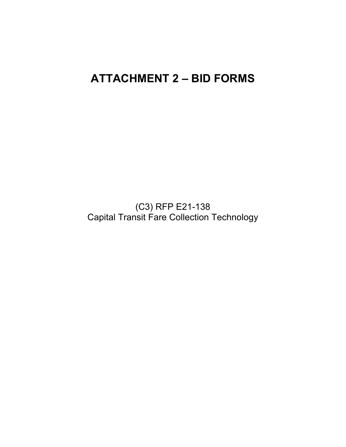# **ATTACHMENT 2 – BID FORMS**

(C3) RFP E21-138 Capital Transit Fare Collection Technology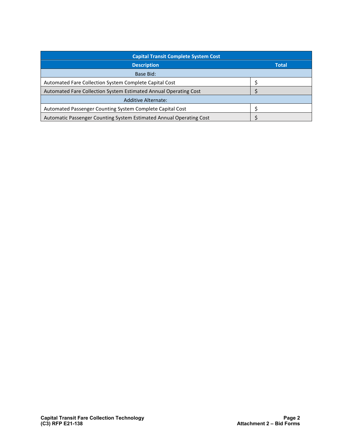| <b>Capital Transit Complete System Cost</b>                         |              |
|---------------------------------------------------------------------|--------------|
| <b>Description</b>                                                  | <b>Total</b> |
| Base Bid:                                                           |              |
| Automated Fare Collection System Complete Capital Cost              |              |
| Automated Fare Collection System Estimated Annual Operating Cost    |              |
| <b>Additive Alternate:</b>                                          |              |
| Automated Passenger Counting System Complete Capital Cost           |              |
| Automatic Passenger Counting System Estimated Annual Operating Cost |              |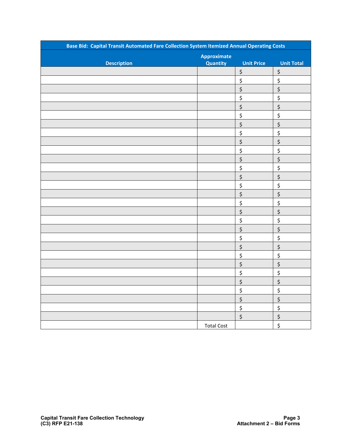| Base Bid: Capital Transit Automated Fare Collection System Itemized Annual Operating Costs |                    |                                |                                |  |
|--------------------------------------------------------------------------------------------|--------------------|--------------------------------|--------------------------------|--|
|                                                                                            | <b>Approximate</b> |                                |                                |  |
| <b>Description</b>                                                                         | Quantity           | <b>Unit Price</b>              | <b>Unit Total</b>              |  |
|                                                                                            |                    | \$                             | \$                             |  |
|                                                                                            |                    | \$                             | \$                             |  |
|                                                                                            |                    | $\zeta$                        | $\boldsymbol{\dot{\varsigma}}$ |  |
|                                                                                            |                    | \$                             | \$                             |  |
|                                                                                            |                    | $\zeta$                        | $\zeta$                        |  |
|                                                                                            |                    | \$                             | \$                             |  |
|                                                                                            |                    | $\boldsymbol{\zeta}$           | $\boldsymbol{\dot{\varsigma}}$ |  |
|                                                                                            |                    | \$                             | \$                             |  |
|                                                                                            |                    | $\zeta$                        | $\zeta$                        |  |
|                                                                                            |                    | \$                             | \$                             |  |
|                                                                                            |                    | $\boldsymbol{\zeta}$           | $\boldsymbol{\dot{\varsigma}}$ |  |
|                                                                                            |                    | \$                             | \$                             |  |
|                                                                                            |                    | $\zeta$                        | $\zeta$                        |  |
|                                                                                            |                    | \$                             | \$                             |  |
|                                                                                            |                    | $\boldsymbol{\dot{\varsigma}}$ | $\zeta$                        |  |
|                                                                                            |                    | \$                             | \$                             |  |
|                                                                                            |                    | $\zeta$                        | $\boldsymbol{\dot{\varsigma}}$ |  |
|                                                                                            |                    | \$                             | \$                             |  |
|                                                                                            |                    | \$                             | $\boldsymbol{\dot{\varsigma}}$ |  |
|                                                                                            |                    | \$                             | \$                             |  |
|                                                                                            |                    | \$                             | \$                             |  |
|                                                                                            |                    | \$                             | \$                             |  |
|                                                                                            |                    | \$                             | \$                             |  |
|                                                                                            |                    | $\zeta$                        | \$                             |  |
|                                                                                            |                    | \$                             | $\boldsymbol{\dot{\varsigma}}$ |  |
|                                                                                            |                    | $\boldsymbol{\dot{\varsigma}}$ | \$                             |  |
|                                                                                            |                    | $\zeta$                        | $\zeta$                        |  |
|                                                                                            |                    | $\boldsymbol{\dot{\varsigma}}$ | \$                             |  |
|                                                                                            |                    | \$                             | \$                             |  |
|                                                                                            | <b>Total Cost</b>  |                                | \$                             |  |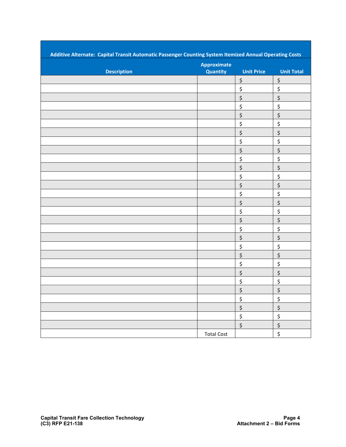| Additive Alternate: Capital Transit Automatic Passenger Counting System Itemized Annual Operating Costs |                                |                   |                                 |
|---------------------------------------------------------------------------------------------------------|--------------------------------|-------------------|---------------------------------|
| <b>Description</b>                                                                                      | <b>Approximate</b><br>Quantity | <b>Unit Price</b> | <b>Unit Total</b>               |
|                                                                                                         |                                | \$                | \$                              |
|                                                                                                         |                                | \$                | \$                              |
|                                                                                                         |                                | \$                | \$                              |
|                                                                                                         |                                | \$                | \$                              |
|                                                                                                         |                                | \$                | \$                              |
|                                                                                                         |                                | \$                | \$                              |
|                                                                                                         |                                | \$                | \$                              |
|                                                                                                         |                                | \$                | \$                              |
|                                                                                                         |                                | \$                | \$                              |
|                                                                                                         |                                | \$                | \$                              |
|                                                                                                         |                                | \$                | \$                              |
|                                                                                                         |                                | \$                | \$                              |
|                                                                                                         |                                | \$                | \$                              |
|                                                                                                         |                                | \$                | \$                              |
|                                                                                                         |                                | \$                | $\ddot{\varsigma}$              |
|                                                                                                         |                                | \$                | \$                              |
|                                                                                                         |                                | \$                | \$                              |
|                                                                                                         |                                | \$                | \$                              |
|                                                                                                         |                                | \$                | \$                              |
|                                                                                                         |                                | \$                | \$                              |
|                                                                                                         |                                | \$                | \$                              |
|                                                                                                         |                                | \$                | \$                              |
|                                                                                                         |                                | \$                | $\overline{\boldsymbol{\zeta}}$ |
|                                                                                                         |                                | \$                | \$                              |
|                                                                                                         |                                | \$                | \$                              |
|                                                                                                         |                                | \$                | $\frac{1}{2}$                   |
|                                                                                                         |                                | $\zeta$           | \$                              |
|                                                                                                         |                                | \$                | \$                              |
|                                                                                                         |                                | $\zeta$           | \$                              |
|                                                                                                         | <b>Total Cost</b>              |                   | \$                              |
|                                                                                                         |                                |                   |                                 |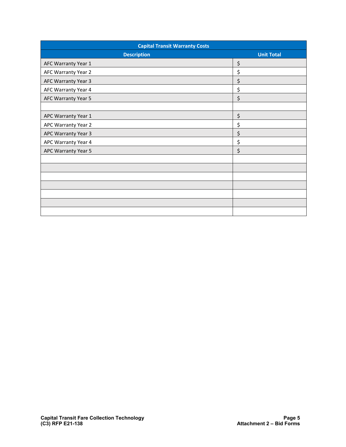| <b>Capital Transit Warranty Costs</b> |                   |  |  |  |
|---------------------------------------|-------------------|--|--|--|
| <b>Description</b>                    | <b>Unit Total</b> |  |  |  |
| AFC Warranty Year 1                   | \$                |  |  |  |
| AFC Warranty Year 2                   | \$                |  |  |  |
| AFC Warranty Year 3                   | \$                |  |  |  |
| AFC Warranty Year 4                   | \$                |  |  |  |
| AFC Warranty Year 5                   | \$                |  |  |  |
|                                       |                   |  |  |  |
| APC Warranty Year 1                   | \$                |  |  |  |
| APC Warranty Year 2                   | \$                |  |  |  |
| APC Warranty Year 3                   | \$                |  |  |  |
| APC Warranty Year 4                   | \$                |  |  |  |
| APC Warranty Year 5                   | \$                |  |  |  |
|                                       |                   |  |  |  |
|                                       |                   |  |  |  |
|                                       |                   |  |  |  |
|                                       |                   |  |  |  |
|                                       |                   |  |  |  |
|                                       |                   |  |  |  |
|                                       |                   |  |  |  |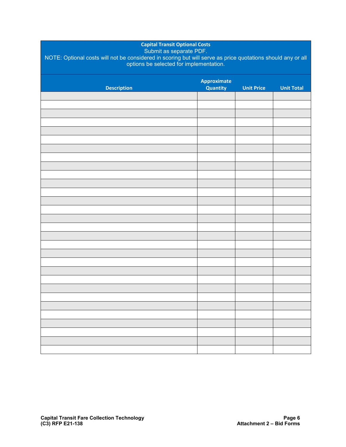| <b>Capital Transit Optional Costs</b><br>Submit as separate PDF.<br>NOTE: Optional costs will not be considered in scoring but will serve as price quotations should any or all<br>options be selected for implementation. |                                       |                   |                   |  |
|----------------------------------------------------------------------------------------------------------------------------------------------------------------------------------------------------------------------------|---------------------------------------|-------------------|-------------------|--|
| <b>Description</b>                                                                                                                                                                                                         | <b>Approximate</b><br><b>Quantity</b> | <b>Unit Price</b> | <b>Unit Total</b> |  |
|                                                                                                                                                                                                                            |                                       |                   |                   |  |
|                                                                                                                                                                                                                            |                                       |                   |                   |  |
|                                                                                                                                                                                                                            |                                       |                   |                   |  |
|                                                                                                                                                                                                                            |                                       |                   |                   |  |
|                                                                                                                                                                                                                            |                                       |                   |                   |  |
|                                                                                                                                                                                                                            |                                       |                   |                   |  |
|                                                                                                                                                                                                                            |                                       |                   |                   |  |
|                                                                                                                                                                                                                            |                                       |                   |                   |  |
|                                                                                                                                                                                                                            |                                       |                   |                   |  |
|                                                                                                                                                                                                                            |                                       |                   |                   |  |
|                                                                                                                                                                                                                            |                                       |                   |                   |  |
|                                                                                                                                                                                                                            |                                       |                   |                   |  |
|                                                                                                                                                                                                                            |                                       |                   |                   |  |
|                                                                                                                                                                                                                            |                                       |                   |                   |  |
|                                                                                                                                                                                                                            |                                       |                   |                   |  |
|                                                                                                                                                                                                                            |                                       |                   |                   |  |
|                                                                                                                                                                                                                            |                                       |                   |                   |  |
|                                                                                                                                                                                                                            |                                       |                   |                   |  |
|                                                                                                                                                                                                                            |                                       |                   |                   |  |
|                                                                                                                                                                                                                            |                                       |                   |                   |  |
|                                                                                                                                                                                                                            |                                       |                   |                   |  |
|                                                                                                                                                                                                                            |                                       |                   |                   |  |
|                                                                                                                                                                                                                            |                                       |                   |                   |  |
|                                                                                                                                                                                                                            |                                       |                   |                   |  |
|                                                                                                                                                                                                                            |                                       |                   |                   |  |
|                                                                                                                                                                                                                            |                                       |                   |                   |  |
|                                                                                                                                                                                                                            |                                       |                   |                   |  |
|                                                                                                                                                                                                                            |                                       |                   |                   |  |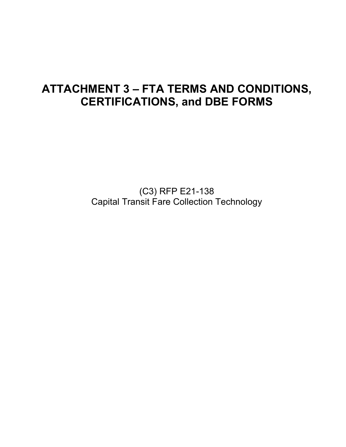# **ATTACHMENT 3 – FTA TERMS AND CONDITIONS, CERTIFICATIONS, and DBE FORMS**

(C3) RFP E21-138 Capital Transit Fare Collection Technology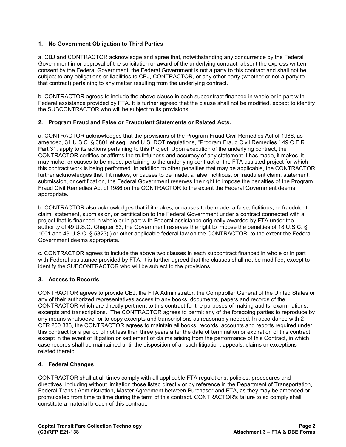#### **1. No Government Obligation to Third Parties**

a. CBJ and CONTRACTOR acknowledge and agree that, notwithstanding any concurrence by the Federal Government in or approval of the solicitation or award of the underlying contract, absent the express written consent by the Federal Government, the Federal Government is not a party to this contract and shall not be subject to any obligations or liabilities to CBJ, CONTRACTOR, or any other party (whether or not a party to that contract) pertaining to any matter resulting from the underlying contract.

b. CONTRACTOR agrees to include the above clause in each subcontract financed in whole or in part with Federal assistance provided by FTA. It is further agreed that the clause shall not be modified, except to identify the SUBCONTRACTOR who will be subject to its provisions.

#### **2. Program Fraud and False or Fraudulent Statements or Related Acts.**

a. CONTRACTOR acknowledges that the provisions of the Program Fraud Civil Remedies Act of 1986, as amended, 31 U.S.C. § 3801 et seq . and U.S. DOT regulations, "Program Fraud Civil Remedies," 49 C.F.R. Part 31, apply to its actions pertaining to this Project. Upon execution of the underlying contract, the CONTRACTOR certifies or affirms the truthfulness and accuracy of any statement it has made, it makes, it may make, or causes to be made, pertaining to the underlying contract or the FTA assisted project for which this contract work is being performed. In addition to other penalties that may be applicable, the CONTRACTOR further acknowledges that if it makes, or causes to be made, a false, fictitious, or fraudulent claim, statement, submission, or certification, the Federal Government reserves the right to impose the penalties of the Program Fraud Civil Remedies Act of 1986 on the CONTRACTOR to the extent the Federal Government deems appropriate.

b. CONTRACTOR also acknowledges that if it makes, or causes to be made, a false, fictitious, or fraudulent claim, statement, submission, or certification to the Federal Government under a contract connected with a project that is financed in whole or in part with Federal assistance originally awarded by FTA under the authority of 49 U.S.C. Chapter 53, the Government reserves the right to impose the penalties of 18 U.S.C. § 1001 and 49 U.S.C. § 5323(l) or other applicable federal law on the CONTRACTOR, to the extent the Federal Government deems appropriate.

c. CONTRACTOR agrees to include the above two clauses in each subcontract financed in whole or in part with Federal assistance provided by FTA. It is further agreed that the clauses shall not be modified, except to identify the SUBCONTRACTOR who will be subject to the provisions.

#### **3. Access to Records**

CONTRACTOR agrees to provide CBJ, the FTA Administrator, the Comptroller General of the United States or any of their authorized representatives access to any books, documents, papers and records of the CONTRACTOR which are directly pertinent to this contract for the purposes of making audits, examinations, excerpts and transcriptions. The CONTRACTOR agrees to permit any of the foregoing parties to reproduce by any means whatsoever or to copy excerpts and transcriptions as reasonably needed. In accordance with 2 CFR 200.333, the CONTRACTOR agrees to maintain all books, records, accounts and reports required under this contract for a period of not less than three years after the date of termination or expiration of this contract except in the event of litigation or settlement of claims arising from the performance of this Contract, in which case records shall be maintained until the disposition of all such litigation, appeals, claims or exceptions related thereto.

#### **4. Federal Changes**

CONTRACTOR shall at all times comply with all applicable FTA regulations, policies, procedures and directives, including without limitation those listed directly or by reference in the Department of Transportation, Federal Transit Administration, Master Agreement between Purchaser and FTA, as they may be amended or promulgated from time to time during the term of this contract. CONTRACTOR's failure to so comply shall constitute a material breach of this contract.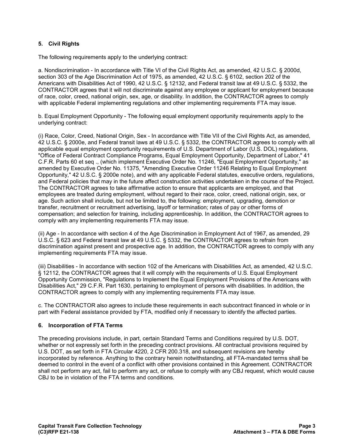#### **5. Civil Rights**

The following requirements apply to the underlying contract:

a. Nondiscrimination - In accordance with Title VI of the Civil Rights Act, as amended, 42 U.S.C. § 2000d, section 303 of the Age Discrimination Act of 1975, as amended, 42 U.S.C. § 6102, section 202 of the Americans with Disabilities Act of 1990, 42 U.S.C. § 12132, and Federal transit law at 49 U.S.C. § 5332, the CONTRACTOR agrees that it will not discriminate against any employee or applicant for employment because of race, color, creed, national origin, sex, age, or disability. In addition, the CONTRACTOR agrees to comply with applicable Federal implementing regulations and other implementing requirements FTA may issue.

b. Equal Employment Opportunity - The following equal employment opportunity requirements apply to the underlying contract:

(i) Race, Color, Creed, National Origin, Sex - In accordance with Title VII of the Civil Rights Act, as amended, 42 U.S.C. § 2000e, and Federal transit laws at 49 U.S.C. § 5332, the CONTRACTOR agrees to comply with all applicable equal employment opportunity requirements of U.S. Department of Labor (U.S. DOL) regulations, "Office of Federal Contract Compliance Programs, Equal Employment Opportunity, Department of Labor," 41 C.F.R. Parts 60 et seq ., (which implement Executive Order No. 11246, "Equal Employment Opportunity," as amended by Executive Order No. 11375, "Amending Executive Order 11246 Relating to Equal Employment Opportunity," 42 U.S.C. § 2000e note), and with any applicable Federal statutes, executive orders, regulations, and Federal policies that may in the future affect construction activities undertaken in the course of the Project. The CONTRACTOR agrees to take affirmative action to ensure that applicants are employed, and that employees are treated during employment, without regard to their race, color, creed, national origin, sex, or age. Such action shall include, but not be limited to, the following: employment, upgrading, demotion or transfer, recruitment or recruitment advertising, layoff or termination; rates of pay or other forms of compensation; and selection for training, including apprenticeship. In addition, the CONTRACTOR agrees to comply with any implementing requirements FTA may issue.

(ii) Age - In accordance with section 4 of the Age Discrimination in Employment Act of 1967, as amended, 29 U.S.C. § 623 and Federal transit law at 49 U.S.C. § 5332, the CONTRACTOR agrees to refrain from discrimination against present and prospective age. In addition, the CONTRACTOR agrees to comply with any implementing requirements FTA may issue.

(iii) Disabilities - In accordance with section 102 of the Americans with Disabilities Act, as amended, 42 U.S.C. § 12112, the CONTRACTOR agrees that it will comply with the requirements of U.S. Equal Employment Opportunity Commission, "Regulations to Implement the Equal Employment Provisions of the Americans with Disabilities Act," 29 C.F.R. Part 1630, pertaining to employment of persons with disabilities. In addition, the CONTRACTOR agrees to comply with any implementing requirements FTA may issue.

c. The CONTRACTOR also agrees to include these requirements in each subcontract financed in whole or in part with Federal assistance provided by FTA, modified only if necessary to identify the affected parties.

#### **6. Incorporation of FTA Terms**

The preceding provisions include, in part, certain Standard Terms and Conditions required by U.S. DOT, whether or not expressly set forth in the preceding contract provisions. All contractual provisions required by U.S. DOT, as set forth in FTA Circular 4220, 2 CFR 200.318, and subsequent revisions are hereby incorporated by reference. Anything to the contrary herein notwithstanding, all FTA-mandated terms shall be deemed to control in the event of a conflict with other provisions contained in this Agreement. CONTRACTOR shall not perform any act, fail to perform any act, or refuse to comply with any CBJ request, which would cause CBJ to be in violation of the FTA terms and conditions.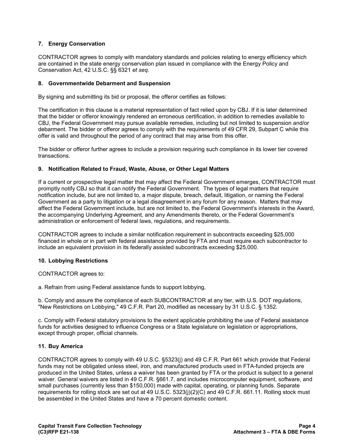#### **7. Energy Conservation**

CONTRACTOR agrees to comply with mandatory standards and policies relating to energy efficiency which are contained in the state energy conservation plan issued in compliance with the Energy Policy and Conservation Act, 42 U.S.C. §§ 6321 *et seq.*

#### **8. Governmentwide Debarment and Suspension**

By signing and submitting its bid or proposal, the offeror certifies as follows:

The certification in this clause is a material representation of fact relied upon by CBJ. If it is later determined that the bidder or offeror knowingly rendered an erroneous certification, in addition to remedies available to CBJ, the Federal Government may pursue available remedies, including but not limited to suspension and/or debarment. The bidder or offeror agrees to comply with the requirements of 49 CFR 29, Subpart C while this offer is valid and throughout the period of any contract that may arise from this offer.

The bidder or offeror further agrees to include a provision requiring such compliance in its lower tier covered transactions.

#### **9. Notification Related to Fraud, Waste, Abuse, or Other Legal Matters**

If a current or prospective legal matter that may affect the Federal Government emerges, CONTRACTOR must promptly notify CBJ so that it can notify the Federal Government. The types of legal matters that require notification include, but are not limited to, a major dispute, breach, default, litigation, or naming the Federal Government as a party to litigation or a legal disagreement in any forum for any reason. Matters that may affect the Federal Government include, but are not limited to, the Federal Government's interests in the Award, the accompanying Underlying Agreement, and any Amendments thereto, or the Federal Government's administration or enforcement of federal laws, regulations, and requirements.

CONTRACTOR agrees to include a similar notification requirement in subcontracts exceeding \$25,000 financed in whole or in part with federal assistance provided by FTA and must require each subcontractor to include an equivalent provision in its federally assisted subcontracts exceeding \$25,000.

#### **10. Lobbying Restrictions**

CONTRACTOR agrees to:

a. Refrain from using Federal assistance funds to support lobbying,

b. Comply and assure the compliance of each SUBCONTRACTOR at any tier, with U.S. DOT regulations, "New Restrictions on Lobbying," 49 C.F.R. Part 20, modified as necessary by 31 U.S.C. § 1352.

c. Comply with Federal statutory provisions to the extent applicable prohibiting the use of Federal assistance funds for activities designed to influence Congress or a State legislature on legislation or appropriations, except through proper, official channels.

#### **11. Buy America**

CONTRACTOR agrees to comply with 49 U.S.C. §5323(j) and 49 C.F.R. Part 661 which provide that Federal funds may not be obligated unless steel, iron, and manufactured products used in FTA-funded projects are produced in the United States, unless a waiver has been granted by FTA or the product is subject to a general waiver. General waivers are listed in 49 C.F.R. §661.7, and includes microcomputer equipment, software, and small purchases (currently less than \$150,000) made with capital, operating, or planning funds. Separate requirements for rolling stock are set out at 49 U.S.C. 5323(j)(2)(C) and 49 C.F.R. 661.11. Rolling stock must be assembled in the United States and have a 70 percent domestic content.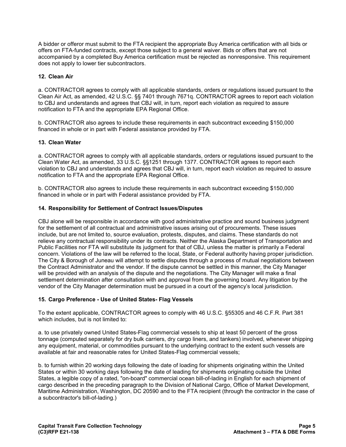A bidder or offeror must submit to the FTA recipient the appropriate Buy America certification with all bids or offers on FTA-funded contracts, except those subject to a general waiver. Bids or offers that are not accompanied by a completed Buy America certification must be rejected as nonresponsive. This requirement does not apply to lower tier subcontractors.

#### **12. Clean Air**

a. CONTRACTOR agrees to comply with all applicable standards, orders or regulations issued pursuant to the Clean Air Act, as amended, 42 U.S.C. §§ 7401 through 7671q. CONTRACTOR agrees to report each violation to CBJ and understands and agrees that CBJ will, in turn, report each violation as required to assure notification to FTA and the appropriate EPA Regional Office.

b. CONTRACTOR also agrees to include these requirements in each subcontract exceeding \$150,000 financed in whole or in part with Federal assistance provided by FTA.

#### **13. Clean Water**

a. CONTRACTOR agrees to comply with all applicable standards, orders or regulations issued pursuant to the Clean Water Act, as amended, 33 U.S.C. §§1251 through 1377. CONTRACTOR agrees to report each violation to CBJ and understands and agrees that CBJ will, in turn, report each violation as required to assure notification to FTA and the appropriate EPA Regional Office.

b. CONTRACTOR also agrees to include these requirements in each subcontract exceeding \$150,000 financed in whole or in part with Federal assistance provided by FTA.

#### **14. Responsibility for Settlement of Contract Issues/Disputes**

CBJ alone will be responsible in accordance with good administrative practice and sound business judgment for the settlement of all contractual and administrative issues arising out of procurements. These issues include, but are not limited to, source evaluation, protests, disputes, and claims. These standards do not relieve any contractual responsibility under its contracts. Neither the Alaska Department of Transportation and Public Facilities nor FTA will substitute its judgment for that of CBJ, unless the matter is primarily a Federal concern. Violations of the law will be referred to the local, State, or Federal authority having proper jurisdiction. The City & Borough of Juneau will attempt to settle disputes through a process of mutual negotiations between the Contract Administrator and the vendor. If the dispute cannot be settled in this manner, the City Manager will be provided with an analysis of the dispute and the negotiations. The City Manager will make a final settlement determination after consultation with and approval from the governing board. Any litigation by the vendor of the City Manager determination must be pursued in a court of the agency's local jurisdiction.

#### **15. Cargo Preference - Use of United States- Flag Vessels**

To the extent applicable, CONTRACTOR agrees to comply with 46 U.S.C. §55305 and 46 C.F.R. Part 381 which includes, but is not limited to:

a. to use privately owned United States-Flag commercial vessels to ship at least 50 percent of the gross tonnage (computed separately for dry bulk carriers, dry cargo liners, and tankers) involved, whenever shipping any equipment, material, or commodities pursuant to the underlying contract to the extent such vessels are available at fair and reasonable rates for United States-Flag commercial vessels;

b. to furnish within 20 working days following the date of loading for shipments originating within the United States or within 30 working days following the date of leading for shipments originating outside the United States, a legible copy of a rated, "on-board" commercial ocean bill-of-lading in English for each shipment of cargo described in the preceding paragraph to the Division of National Cargo, Office of Market Development, Maritime Administration, Washington, DC 20590 and to the FTA recipient (through the contractor in the case of a subcontractor's bill-of-lading.)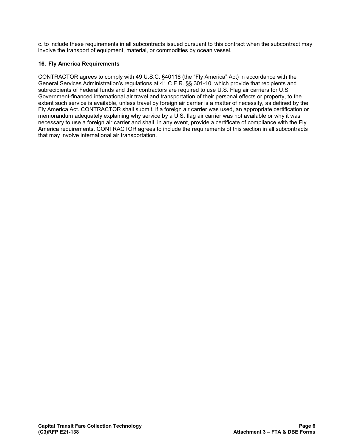c. to include these requirements in all subcontracts issued pursuant to this contract when the subcontract may involve the transport of equipment, material, or commodities by ocean vessel.

#### **16. Fly America Requirements**

CONTRACTOR agrees to comply with 49 U.S.C. §40118 (the "Fly America" Act) in accordance with the General Services Administration's regulations at 41 C.F.R. §§ 301-10, which provide that recipients and subrecipients of Federal funds and their contractors are required to use U.S. Flag air carriers for U.S Government-financed international air travel and transportation of their personal effects or property, to the extent such service is available, unless travel by foreign air carrier is a matter of necessity, as defined by the Fly America Act. CONTRACTOR shall submit, if a foreign air carrier was used, an appropriate certification or memorandum adequately explaining why service by a U.S. flag air carrier was not available or why it was necessary to use a foreign air carrier and shall, in any event, provide a certificate of compliance with the Fly America requirements. CONTRACTOR agrees to include the requirements of this section in all subcontracts that may involve international air transportation.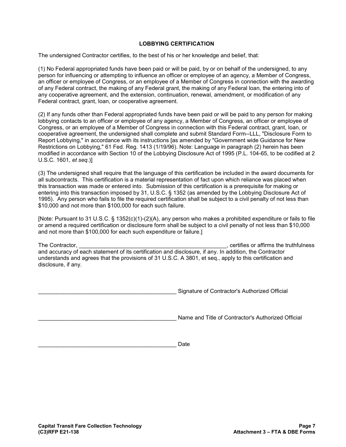#### **LOBBYING CERTIFICATION**

The undersigned Contractor certifies, to the best of his or her knowledge and belief, that:

(1) No Federal appropriated funds have been paid or will be paid, by or on behalf of the undersigned, to any person for influencing or attempting to influence an officer or employee of an agency, a Member of Congress, an officer or employee of Congress, or an employee of a Member of Congress in connection with the awarding of any Federal contract, the making of any Federal grant, the making of any Federal loan, the entering into of any cooperative agreement, and the extension, continuation, renewal, amendment, or modification of any Federal contract, grant, loan, or cooperative agreement.

(2) If any funds other than Federal appropriated funds have been paid or will be paid to any person for making lobbying contacts to an officer or employee of any agency, a Member of Congress, an officer or employee of Congress, or an employee of a Member of Congress in connection with this Federal contract, grant, loan, or cooperative agreement, the undersigned shall complete and submit Standard Form--LLL, "Disclosure Form to Report Lobbying," in accordance with its instructions [as amended by "Government wide Guidance for New Restrictions on Lobbying," 61 Fed. Reg. 1413 (1/19/96). Note: Language in paragraph (2) herein has been modified in accordance with Section 10 of the Lobbying Disclosure Act of 1995 (P.L. 104-65, to be codified at 2 U.S.C. 1601, *et seq*.)]

(3) The undersigned shall require that the language of this certification be included in the award documents for all subcontracts. This certification is a material representation of fact upon which reliance was placed when this transaction was made or entered into. Submission of this certification is a prerequisite for making or entering into this transaction imposed by 31, U.S.C. § 1352 (as amended by the Lobbying Disclosure Act of 1995). Any person who fails to file the required certification shall be subject to a civil penalty of not less than \$10,000 and not more than \$100,000 for each such failure.

[Note: Pursuant to 31 U.S.C. § 1352(c)(1)-(2)(A), any person who makes a prohibited expenditure or fails to file or amend a required certification or disclosure form shall be subject to a civil penalty of not less than \$10,000 and not more than \$100,000 for each such expenditure or failure.]

The Contractor, \_\_\_\_\_\_\_\_\_\_\_\_\_\_\_\_\_\_\_\_\_\_\_\_\_\_\_\_\_\_\_\_\_\_\_\_\_\_\_\_\_\_\_\_\_\_\_, certifies or affirms the truthfulness and accuracy of each statement of its certification and disclosure, if any. In addition, the Contractor understands and agrees that the provisions of 31 U.S.C. A 3801, et seq., apply to this certification and disclosure, if any.

Signature of Contractor's Authorized Official

Name and Title of Contractor's Authorized Official

\_\_\_\_\_\_\_\_\_\_\_\_\_\_\_\_\_\_\_\_\_\_\_\_\_\_\_\_\_\_\_\_\_\_\_\_\_\_\_\_\_\_\_\_ Date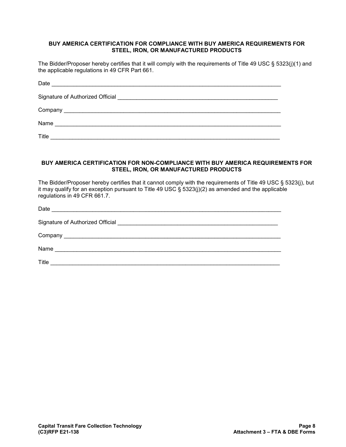#### **BUY AMERICA CERTIFICATION FOR COMPLIANCE WITH BUY AMERICA REQUIREMENTS FOR STEEL, IRON, OR MANUFACTURED PRODUCTS**

The Bidder/Proposer hereby certifies that it will comply with the requirements of Title 49 USC § 5323(j)(1) and the applicable regulations in 49 CFR Part 661.

| Date<br><u> 1980 - Paris Paris, presidente e altres estados e altres estados e altres estados e altres estados e altres e</u> |
|-------------------------------------------------------------------------------------------------------------------------------|
|                                                                                                                               |
|                                                                                                                               |
| Name<br><u> 1980 - Jan Barat, martin da basar da basar da basar da basar da basar da basar da basar da basar da basar da</u>  |
| Title                                                                                                                         |

#### **BUY AMERICA CERTIFICATION FOR NON-COMPLIANCE WITH BUY AMERICA REQUIREMENTS FOR STEEL, IRON, OR MANUFACTURED PRODUCTS**

The Bidder/Proposer hereby certifies that it cannot comply with the requirements of Title 49 USC § 5323(j), but it may qualify for an exception pursuant to Title 49 USC § 5323(j)(2) as amended and the applicable regulations in 49 CFR 661.7.

| Date  | <u> 1980 - Johann Barbara, margaret eta idazlear</u> |  |
|-------|------------------------------------------------------|--|
|       |                                                      |  |
|       |                                                      |  |
| Name  |                                                      |  |
| Title |                                                      |  |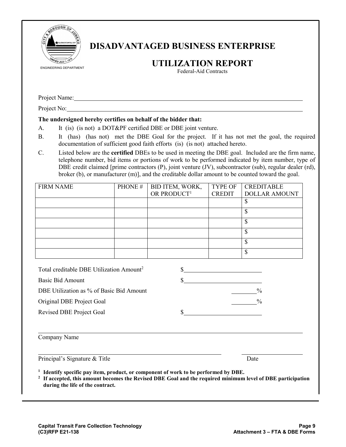

# **DISADVANTAGED BUSINESS ENTERPRISE**

# **UTILIZATION REPORT**

Federal-Aid Contracts

Project Name:

Project No:

#### **The undersigned hereby certifies on behalf of the bidder that:**

- A. It (is) (is not) a DOT&PF certified DBE or DBE joint venture.
- B. It (has) (has not) met the DBE Goal for the project. If it has not met the goal, the required documentation of sufficient good faith efforts (is) (is not) attached hereto.
- C. Listed below are the **certified** DBEs to be used in meeting the DBE goal. Included are the firm name, telephone number, bid items or portions of work to be performed indicated by item number, type of DBE credit claimed [prime contractors (P), joint venture (JV), subcontractor (sub), regular dealer (rd), broker (b), or manufacturer (m)], and the creditable dollar amount to be counted toward the goal.

| <b>FIRM NAME</b>                                     | PHONE# | BID ITEM, WORK,         | <b>TYPE OF</b> | <b>CREDITABLE</b>    |
|------------------------------------------------------|--------|-------------------------|----------------|----------------------|
|                                                      |        | OR PRODUCT <sup>1</sup> | <b>CREDIT</b>  | <b>DOLLAR AMOUNT</b> |
|                                                      |        |                         |                | \$                   |
|                                                      |        |                         |                | \$                   |
|                                                      |        |                         |                | \$                   |
|                                                      |        |                         |                | \$                   |
|                                                      |        |                         |                | \$                   |
|                                                      |        |                         |                | \$                   |
|                                                      |        |                         |                |                      |
| Total creditable DBE Utilization Amount <sup>2</sup> |        |                         |                |                      |
| Basic Bid Amount                                     |        |                         |                |                      |

| Basic Bid Amount                         |               |
|------------------------------------------|---------------|
| DBE Utilization as % of Basic Bid Amount | $\frac{0}{0}$ |
| Original DBE Project Goal                | $\frac{0}{0}$ |
| Revised DBE Project Goal                 |               |

| Company Name |  |
|--------------|--|
|--------------|--|

Principal's Signature & Title Date Date Date

**<sup>1</sup> Identify specific pay item, product, or component of work to be performed by DBE.**

**<sup>2</sup> If accepted, this amount becomes the Revised DBE Goal and the required minimum level of DBE participation during the life of the contract.**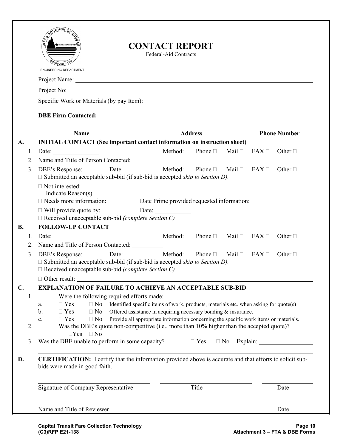|               |          | กับติห<br>ALASKA'S CAPITAL CITY<br><b>ENGINEERING DEPARTMENT</b>                                                                                                                                                                                                           | <b>CONTACT REPORT</b><br>Federal-Aid Contracts                                                                                                                                                                                                    |                                     |        |                        |                     |
|---------------|----------|----------------------------------------------------------------------------------------------------------------------------------------------------------------------------------------------------------------------------------------------------------------------------|---------------------------------------------------------------------------------------------------------------------------------------------------------------------------------------------------------------------------------------------------|-------------------------------------|--------|------------------------|---------------------|
|               |          |                                                                                                                                                                                                                                                                            |                                                                                                                                                                                                                                                   |                                     |        |                        |                     |
|               |          |                                                                                                                                                                                                                                                                            |                                                                                                                                                                                                                                                   |                                     |        |                        |                     |
|               |          | Specific Work or Materials (by pay Item):                                                                                                                                                                                                                                  |                                                                                                                                                                                                                                                   |                                     |        |                        |                     |
|               |          | <b>DBE Firm Contacted:</b>                                                                                                                                                                                                                                                 |                                                                                                                                                                                                                                                   |                                     |        |                        |                     |
|               |          | <b>Name</b>                                                                                                                                                                                                                                                                | <b>Address</b>                                                                                                                                                                                                                                    |                                     |        |                        | <b>Phone Number</b> |
| A.            |          | <b>INITIAL CONTACT</b> (See important contact information on instruction sheet)                                                                                                                                                                                            |                                                                                                                                                                                                                                                   |                                     |        |                        |                     |
|               | 1.       | Date: $\qquad \qquad$                                                                                                                                                                                                                                                      | Method:                                                                                                                                                                                                                                           | Phone $\Box$                        | Mail □ | $FAX \Box$             | Other $\Box$        |
|               | 2.       | Name and Title of Person Contacted:                                                                                                                                                                                                                                        |                                                                                                                                                                                                                                                   |                                     |        |                        |                     |
|               | 3.       | DBE's Response:<br>$\square$ Submitted an acceptable sub-bid (if sub-bid is accepted <i>skip to Section D)</i> .                                                                                                                                                           | Date: Method:                                                                                                                                                                                                                                     | Phone $\Box$ Mail $\Box$ FAX $\Box$ |        |                        | Other $\Box$        |
|               |          | <u> 1989 - Johann Barbara, martxa alemaniar argametar a contra a contra a contra a contra a contra a contra a co</u><br>Indicate Reason(s)<br>$\Box$ Needs more information:<br>$\Box$ Will provide quote by:<br>$\Box$ Received unacceptable sub-bid (complete Section C) | Date Prime provided requested information:                                                                                                                                                                                                        |                                     |        |                        |                     |
| <b>B.</b>     |          | <b>FOLLOW-UP CONTACT</b>                                                                                                                                                                                                                                                   |                                                                                                                                                                                                                                                   |                                     |        |                        |                     |
|               | 1.       |                                                                                                                                                                                                                                                                            | Method:                                                                                                                                                                                                                                           | Phone $\Box$ Mail $\Box$ FAX $\Box$ |        |                        | Other $\Box$        |
|               | 2.       | Name and Title of Person Contacted:                                                                                                                                                                                                                                        | Date: Method:                                                                                                                                                                                                                                     | Phone $\Box$                        |        | Mail $\Box$ FAX $\Box$ | Other $\Box$        |
|               | 3.       | DBE's Response:<br>$\Box$ Submitted an acceptable sub-bid (if sub-bid is accepted <i>skip to Section D)</i> .<br>$\Box$ Received unacceptable sub-bid (complete Section C)<br>$\Box$ Other result:                                                                         |                                                                                                                                                                                                                                                   |                                     |        |                        |                     |
| $C_{\bullet}$ |          | <b>EXPLANATION OF FAILURE TO ACHIEVE AN ACCEPTABLE SUB-BID</b>                                                                                                                                                                                                             |                                                                                                                                                                                                                                                   |                                     |        |                        |                     |
|               | 1.<br>2. | Were the following required efforts made:<br>$\Box$ Yes<br>$\Box$ No<br>a.<br>$\Box$ Yes<br>b.<br>$\Box$ No<br>$\Box$ Yes<br>$\Box$ No<br>c.<br>Was the DBE's quote non-competitive (i.e., more than 10% higher than the accepted quote)?                                  | Identified specific items of work, products, materials etc. when asking for quote(s)<br>Offered assistance in acquiring necessary bonding $\&$ insurance.<br>Provide all appropriate information concerning the specific work items or materials. |                                     |        |                        |                     |
|               | 3.       | $\Box Yes \quad \Box No$<br>Was the DBE unable to perform in some capacity?                                                                                                                                                                                                |                                                                                                                                                                                                                                                   | $\Box$ Yes                          |        |                        | $\Box$ No Explain:  |
| D.            |          | <b>CERTIFICATION:</b> I certify that the information provided above is accurate and that efforts to solicit sub-<br>bids were made in good faith.                                                                                                                          |                                                                                                                                                                                                                                                   |                                     |        |                        |                     |
|               |          | Signature of Company Representative                                                                                                                                                                                                                                        |                                                                                                                                                                                                                                                   | Title                               |        |                        | Date                |
|               |          | Name and Title of Reviewer                                                                                                                                                                                                                                                 |                                                                                                                                                                                                                                                   |                                     |        |                        | Date                |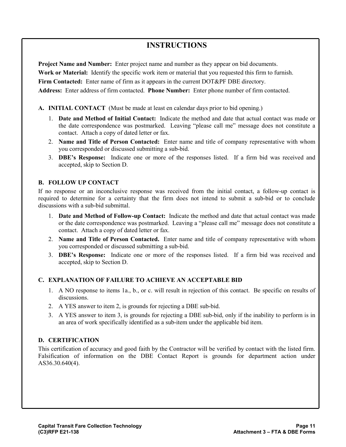## **INSTRUCTIONS**

**Project Name and Number:** Enter project name and number as they appear on bid documents.

**Work or Material:** Identify the specific work item or material that you requested this firm to furnish.

**Firm Contacted:** Enter name of firm as it appears in the current DOT&PF DBE directory.

**Address:** Enter address of firm contacted. **Phone Number:** Enter phone number of firm contacted.

#### **A. INITIAL CONTACT** (Must be made at least en calendar days prior to bid opening.)

- 1. **Date and Method of Initial Contact:** Indicate the method and date that actual contact was made or the date correspondence was postmarked. Leaving "please call me" message does not constitute a contact. Attach a copy of dated letter or fax.
- 2. **Name and Title of Person Contacted:** Enter name and title of company representative with whom you corresponded or discussed submitting a sub-bid.
- 3. **DBE's Response:** Indicate one or more of the responses listed. If a firm bid was received and accepted, skip to Section D.

#### **B. FOLLOW UP CONTACT**

If no response or an inconclusive response was received from the initial contact, a follow-up contact is required to determine for a certainty that the firm does not intend to submit a sub-bid or to conclude discussions with a sub-bid submittal.

- 1. **Date and Method of Follow-up Contact:** Indicate the method and date that actual contact was made or the date correspondence was postmarked. Leaving a "please call me" message does not constitute a contact. Attach a copy of dated letter or fax.
- 2. **Name and Title of Person Contacted.** Enter name and title of company representative with whom you corresponded or discussed submitting a sub-bid.
- 3. **DBE's Response:** Indicate one or more of the responses listed. If a firm bid was received and accepted, skip to Section D.

#### **C. EXPLANATION OF FAILURE TO ACHIEVE AN ACCEPTABLE BID**

- 1. A NO response to items 1a., b., or c. will result in rejection of this contact. Be specific on results of discussions.
- 2. A YES answer to item 2, is grounds for rejecting a DBE sub-bid.
- 3. A YES answer to item 3, is grounds for rejecting a DBE sub-bid, only if the inability to perform is in an area of work specifically identified as a sub-item under the applicable bid item.

### **D. CERTIFICATION**

This certification of accuracy and good faith by the Contractor will be verified by contact with the listed firm. Falsification of information on the DBE Contact Report is grounds for department action under AS36.30.640(4).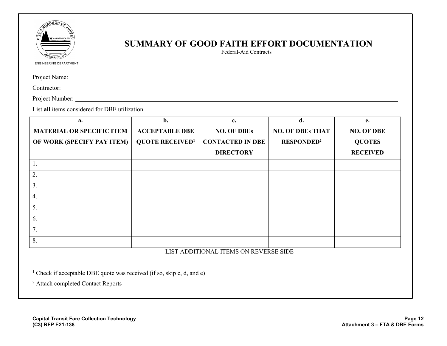

## **SUMMARY OF GOOD FAITH EFFORT DOCUMENTATION**

Federal-Aid Contracts

ENGINEERING DEPARTMENT

Project Name:

Contractor:

Project Number:

List **all** items considered for DBE utilization.

| a.                               | b.                                | c.                                       | d.                           | e.                |
|----------------------------------|-----------------------------------|------------------------------------------|------------------------------|-------------------|
| <b>MATERIAL OR SPECIFIC ITEM</b> | <b>ACCEPTABLE DBE</b>             | <b>NO. OF DBEs</b>                       | <b>NO. OF DBEs THAT</b>      | <b>NO. OF DBE</b> |
| OF WORK (SPECIFY PAY ITEM)       | <b>QUOTE RECEIVED<sup>1</sup></b> | <b>CONTACTED IN DBE</b>                  | <b>RESPONDED<sup>2</sup></b> | <b>QUOTES</b>     |
|                                  |                                   | <b>DIRECTORY</b>                         |                              | <b>RECEIVED</b>   |
| 1.                               |                                   |                                          |                              |                   |
| 2.                               |                                   |                                          |                              |                   |
| $\overline{3}$ .                 |                                   |                                          |                              |                   |
| 4.                               |                                   |                                          |                              |                   |
| 5.                               |                                   |                                          |                              |                   |
| 6.                               |                                   |                                          |                              |                   |
| 7.                               |                                   |                                          |                              |                   |
| 8.                               |                                   | TIOM I DRIMIALLI IMPUSA ALLBERTERAE AIRE |                              |                   |

#### LIST ADDITIONAL ITEMS ON REVERSE SIDE

<sup>1</sup> Check if acceptable DBE quote was received (if so, skip c, d, and e)

<sup>2</sup> Attach completed Contact Reports